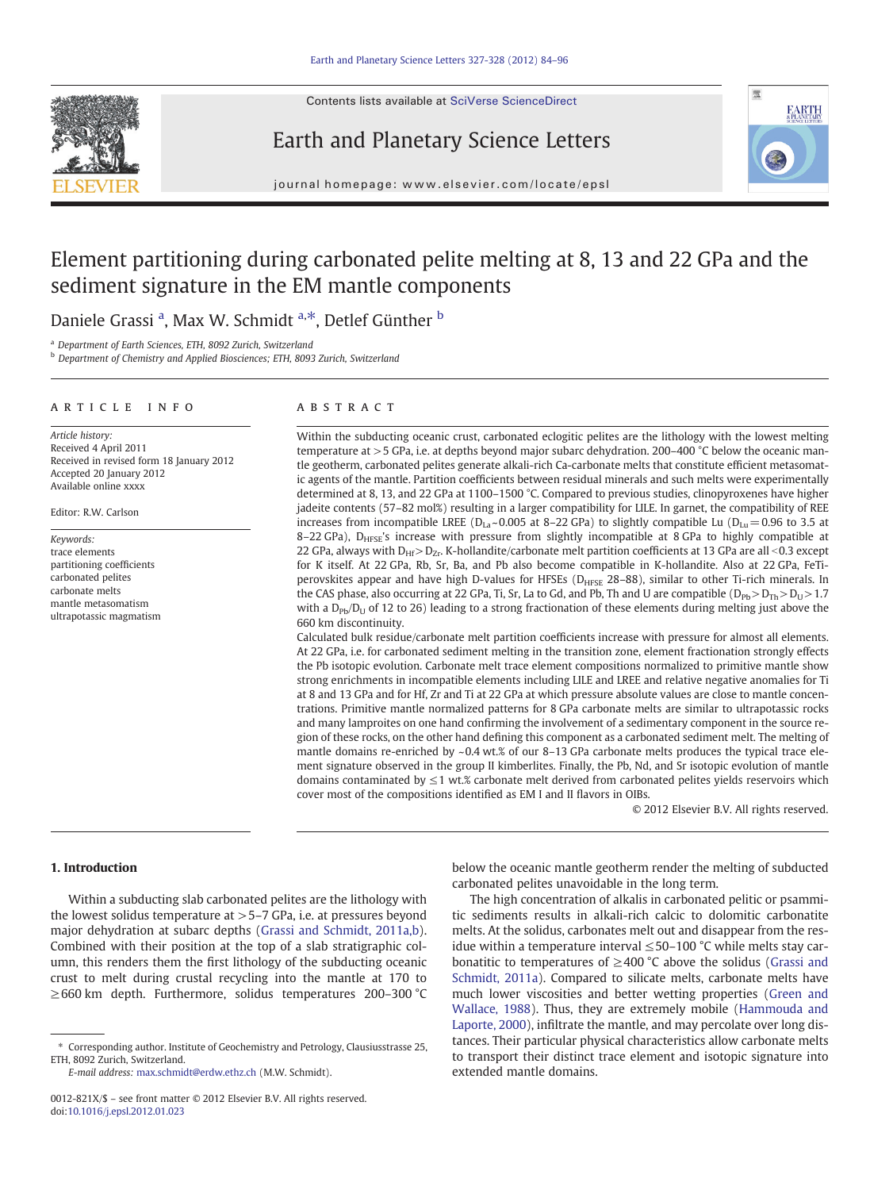Contents lists available at SciVerse ScienceDirect







journal homepage: www.elsevier.com/locate/epsl

# Element partitioning during carbonated pelite melting at 8, 13 and 22 GPa and the sediment signature in the EM mantle components

Daniele Grassi<sup>a</sup>, Max W. Schmidt<sup>a,\*</sup>, Detlef Günther b

<sup>a</sup> Department of Earth Sciences, ETH, 8092 Zurich, Switzerland

**b** Department of Chemistry and Applied Biosciences; ETH, 8093 Zurich, Switzerland

#### article info abstract

Article history: Received 4 April 2011 Received in revised form 18 January 2012 Accepted 20 January 2012 Available online xxxx

Editor: R.W. Carlson

Keywords: trace elements partitioning coefficients carbonated pelites carbonate melts mantle metasomatism ultrapotassic magmatism

Within the subducting oceanic crust, carbonated eclogitic pelites are the lithology with the lowest melting temperature at >5 GPa, i.e. at depths beyond major subarc dehydration. 200–400 °C below the oceanic mantle geotherm, carbonated pelites generate alkali-rich Ca-carbonate melts that constitute efficient metasomatic agents of the mantle. Partition coefficients between residual minerals and such melts were experimentally determined at 8, 13, and 22 GPa at 1100–1500 °C. Compared to previous studies, clinopyroxenes have higher jadeite contents (57–82 mol%) resulting in a larger compatibility for LILE. In garnet, the compatibility of REE increases from incompatible LREE ( $D_{La} \sim 0.005$  at 8–22 GPa) to slightly compatible Lu ( $D_{Lu} = 0.96$  to 3.5 at 8-22 GPa), D<sub>HFSE</sub>'s increase with pressure from slightly incompatible at 8 GPa to highly compatible at 22 GPa, always with  $D_{HF}>D_{Zr}$ . K-hollandite/carbonate melt partition coefficients at 13 GPa are all <0.3 except for K itself. At 22 GPa, Rb, Sr, Ba, and Pb also become compatible in K-hollandite. Also at 22 GPa, FeTiperovskites appear and have high D-values for HFSEs (D<sub>HFSE</sub> 28-88), similar to other Ti-rich minerals. In the CAS phase, also occurring at 22 GPa, Ti, Sr, La to Gd, and Pb, Th and U are compatible  $(D_{Pb}>D_{Th}>D_{U}>1.7$ with a  $D_{\text{Pb}}/D_{\text{U}}$  of 12 to 26) leading to a strong fractionation of these elements during melting just above the 660 km discontinuity.

Calculated bulk residue/carbonate melt partition coefficients increase with pressure for almost all elements. At 22 GPa, i.e. for carbonated sediment melting in the transition zone, element fractionation strongly effects the Pb isotopic evolution. Carbonate melt trace element compositions normalized to primitive mantle show strong enrichments in incompatible elements including LILE and LREE and relative negative anomalies for Ti at 8 and 13 GPa and for Hf, Zr and Ti at 22 GPa at which pressure absolute values are close to mantle concentrations. Primitive mantle normalized patterns for 8 GPa carbonate melts are similar to ultrapotassic rocks and many lamproites on one hand confirming the involvement of a sedimentary component in the source region of these rocks, on the other hand defining this component as a carbonated sediment melt. The melting of mantle domains re-enriched by ~0.4 wt.% of our 8-13 GPa carbonate melts produces the typical trace element signature observed in the group II kimberlites. Finally, the Pb, Nd, and Sr isotopic evolution of mantle domains contaminated by  $\leq 1$  wt.% carbonate melt derived from carbonated pelites yields reservoirs which cover most of the compositions identified as EM I and II flavors in OIBs.

© 2012 Elsevier B.V. All rights reserved.

### 1. Introduction

Within a subducting slab carbonated pelites are the lithology with the lowest solidus temperature at  $>$  5–7 GPa, i.e. at pressures beyond major dehydration at subarc depths [\(Grassi and Schmidt, 2011a,b](#page-11-0)). Combined with their position at the top of a slab stratigraphic column, this renders them the first lithology of the subducting oceanic crust to melt during crustal recycling into the mantle at 170 to ≥660 km depth. Furthermore, solidus temperatures 200–300 °C

E-mail address: [max.schmidt@erdw.ethz.ch](mailto:max.schmidt@erdw.ethz.ch) (M.W. Schmidt).

below the oceanic mantle geotherm render the melting of subducted carbonated pelites unavoidable in the long term.

The high concentration of alkalis in carbonated pelitic or psammitic sediments results in alkali-rich calcic to dolomitic carbonatite melts. At the solidus, carbonates melt out and disappear from the residue within a temperature interval ≤50–100 °C while melts stay carbonatitic to temperatures of  $\geq$ 400 °C above the solidus [\(Grassi and](#page-11-0) [Schmidt, 2011a\)](#page-11-0). Compared to silicate melts, carbonate melts have much lower viscosities and better wetting properties [\(Green and](#page-11-0) [Wallace, 1988](#page-11-0)). Thus, they are extremely mobile [\(Hammouda and](#page-11-0) [Laporte, 2000](#page-11-0)), infiltrate the mantle, and may percolate over long distances. Their particular physical characteristics allow carbonate melts to transport their distinct trace element and isotopic signature into extended mantle domains.

<sup>⁎</sup> Corresponding author. Institute of Geochemistry and Petrology, Clausiusstrasse 25, ETH, 8092 Zurich, Switzerland.

<sup>0012-821</sup>X/\$ – see front matter © 2012 Elsevier B.V. All rights reserved. doi[:10.1016/j.epsl.2012.01.023](http://dx.doi.org/10.1016/j.epsl.2012.01.023)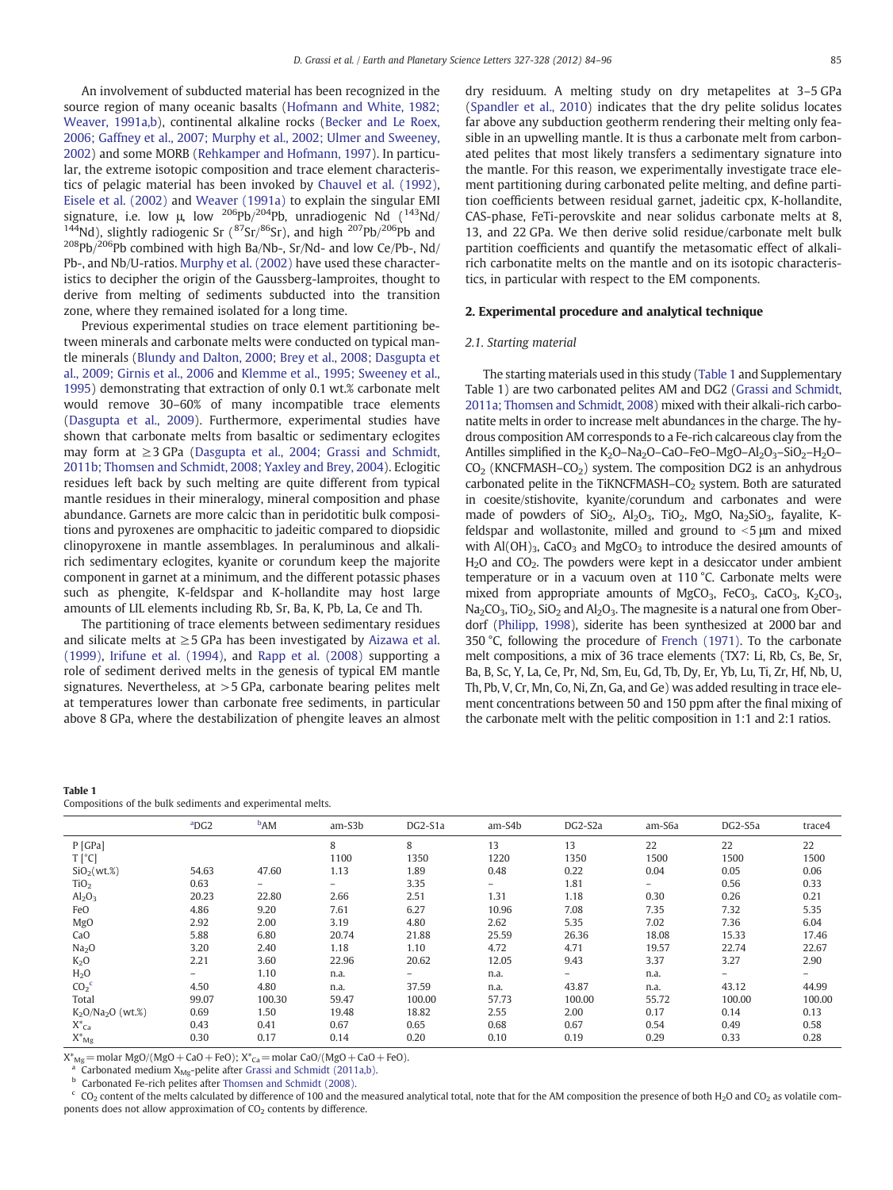<span id="page-1-0"></span>An involvement of subducted material has been recognized in the source region of many oceanic basalts ([Hofmann and White, 1982;](#page-11-0) [Weaver, 1991a,b\)](#page-11-0), continental alkaline rocks [\(Becker and Le Roex,](#page-11-0) [2006; Gaffney et al., 2007; Murphy et al., 2002; Ulmer and Sweeney,](#page-11-0) [2002\)](#page-11-0) and some MORB [\(Rehkamper and Hofmann, 1997\)](#page-11-0). In particular, the extreme isotopic composition and trace element characteristics of pelagic material has been invoked by [Chauvel et al. \(1992\),](#page-11-0) [Eisele et al. \(2002\)](#page-11-0) and [Weaver \(1991a\)](#page-12-0) to explain the singular EMI signature, i.e. low μ, low <sup>206</sup>Pb/<sup>204</sup>Pb, unradiogenic Nd (<sup>143</sup>Nd/<br>144Nd) elightly redisconsis  $S_R$  ( $^{87}S_R$  $^{86}S_R$ ) and high  $^{207}$ Ph  $^{206}$ Ph and  $^{4}$ Nd), slightly radiogenic Sr ( $^{87}$ Sr/ $^{86}$ Sr), and high  $^{207}$ Pb/ $^{206}$ Pb and 208Pb/206Pb combined with high Ba/Nb-, Sr/Nd- and low Ce/Pb-, Nd/ Pb-, and Nb/U-ratios. [Murphy et al. \(2002\)](#page-11-0) have used these characteristics to decipher the origin of the Gaussberg-lamproites, thought to derive from melting of sediments subducted into the transition zone, where they remained isolated for a long time.

Previous experimental studies on trace element partitioning between minerals and carbonate melts were conducted on typical mantle minerals ([Blundy and Dalton, 2000; Brey et al., 2008; Dasgupta et](#page-11-0) [al., 2009; Girnis et al., 2006](#page-11-0) and [Klemme et al., 1995; Sweeney et al.,](#page-11-0) [1995\)](#page-11-0) demonstrating that extraction of only 0.1 wt.% carbonate melt would remove 30–60% of many incompatible trace elements [\(Dasgupta et al., 2009\)](#page-11-0). Furthermore, experimental studies have shown that carbonate melts from basaltic or sedimentary eclogites may form at ≥3 GPa [\(Dasgupta et al., 2004; Grassi and Schmidt,](#page-11-0) [2011b; Thomsen and Schmidt, 2008; Yaxley and Brey, 2004\)](#page-11-0). Eclogitic residues left back by such melting are quite different from typical mantle residues in their mineralogy, mineral composition and phase abundance. Garnets are more calcic than in peridotitic bulk compositions and pyroxenes are omphacitic to jadeitic compared to diopsidic clinopyroxene in mantle assemblages. In peraluminous and alkalirich sedimentary eclogites, kyanite or corundum keep the majorite component in garnet at a minimum, and the different potassic phases such as phengite, K-feldspar and K-hollandite may host large amounts of LIL elements including Rb, Sr, Ba, K, Pb, La, Ce and Th.

The partitioning of trace elements between sedimentary residues and silicate melts at ≥5 GPa has been investigated by [Aizawa et al.](#page-11-0) [\(1999\),](#page-11-0) [Irifune et al. \(1994\)](#page-11-0), and [Rapp et al. \(2008\)](#page-11-0) supporting a role of sediment derived melts in the genesis of typical EM mantle signatures. Nevertheless, at  $>$  5 GPa, carbonate bearing pelites melt at temperatures lower than carbonate free sediments, in particular above 8 GPa, where the destabilization of phengite leaves an almost

Table 1

dry residuum. A melting study on dry metapelites at 3–5 GPa [\(Spandler et al., 2010\)](#page-12-0) indicates that the dry pelite solidus locates far above any subduction geotherm rendering their melting only feasible in an upwelling mantle. It is thus a carbonate melt from carbonated pelites that most likely transfers a sedimentary signature into the mantle. For this reason, we experimentally investigate trace element partitioning during carbonated pelite melting, and define partition coefficients between residual garnet, jadeitic cpx, K-hollandite, CAS-phase, FeTi-perovskite and near solidus carbonate melts at 8, 13, and 22 GPa. We then derive solid residue/carbonate melt bulk partition coefficients and quantify the metasomatic effect of alkalirich carbonatite melts on the mantle and on its isotopic characteristics, in particular with respect to the EM components.

### 2. Experimental procedure and analytical technique

### 2.1. Starting material

The starting materials used in this study (Table 1 and Supplementary Table 1) are two carbonated pelites AM and DG2 [\(Grassi and Schmidt,](#page-11-0) [2011a; Thomsen and Schmidt, 2008\)](#page-11-0) mixed with their alkali-rich carbonatite melts in order to increase melt abundances in the charge. The hydrous composition AM corresponds to a Fe-rich calcareous clay from the Antilles simplified in the K<sub>2</sub>O–Na<sub>2</sub>O–CaO–FeO–MgO–Al<sub>2</sub>O<sub>3</sub>–SiO<sub>2</sub>–H<sub>2</sub>O–  $CO<sub>2</sub>$  (KNCFMASH–CO<sub>2</sub>) system. The composition DG2 is an anhydrous carbonated pelite in the TiKNCFMASH–CO<sub>2</sub> system. Both are saturated in coesite/stishovite, kyanite/corundum and carbonates and were made of powders of SiO<sub>2</sub>, Al<sub>2</sub>O<sub>3</sub>, TiO<sub>2</sub>, MgO, Na<sub>2</sub>SiO<sub>3</sub>, fayalite, Kfeldspar and wollastonite, milled and ground to  $\leq$ 5  $\mu$ m and mixed with  $Al(OH)_3$ , CaCO<sub>3</sub> and MgCO<sub>3</sub> to introduce the desired amounts of H<sub>2</sub>O and CO<sub>2</sub>. The powders were kept in a desiccator under ambient temperature or in a vacuum oven at 110 °C. Carbonate melts were mixed from appropriate amounts of MgCO<sub>3</sub>, FeCO<sub>3</sub>, CaCO<sub>3</sub>, K<sub>2</sub>CO<sub>3</sub>,  $Na<sub>2</sub>CO<sub>3</sub>$ , TiO<sub>2</sub>, SiO<sub>2</sub> and Al<sub>2</sub>O<sub>3</sub>. The magnesite is a natural one from Oberdorf [\(Philipp, 1998\)](#page-11-0), siderite has been synthesized at 2000 bar and 350 °C, following the procedure of [French \(1971\).](#page-11-0) To the carbonate melt compositions, a mix of 36 trace elements (TX7: Li, Rb, Cs, Be, Sr, Ba, B, Sc, Y, La, Ce, Pr, Nd, Sm, Eu, Gd, Tb, Dy, Er, Yb, Lu, Ti, Zr, Hf, Nb, U, Th, Pb, V, Cr, Mn, Co, Ni, Zn, Ga, and Ge) was added resulting in trace element concentrations between 50 and 150 ppm after the final mixing of the carbonate melt with the pelitic composition in 1:1 and 2:1 ratios.

|                                     | $^{a}DG2$ | <b>PAM</b> | am-S3b | DG2-S1a | am-S4b                   | $DG2-S2a$ | am-S6a                   | DG2-S5a | trace4                   |
|-------------------------------------|-----------|------------|--------|---------|--------------------------|-----------|--------------------------|---------|--------------------------|
| $P$ [GPa]                           |           |            | 8      | 8       | 13                       | 13        | 22                       | 22      | 22                       |
| $T[^{\circ}C]$                      |           |            | 1100   | 1350    | 1220                     | 1350      | 1500                     | 1500    | 1500                     |
| SiO <sub>2</sub> (wt <sub>2</sub> ) | 54.63     | 47.60      | 1.13   | 1.89    | 0.48                     | 0.22      | 0.04                     | 0.05    | 0.06                     |
| TiO <sub>2</sub>                    | 0.63      | -          | -      | 3.35    | $\overline{\phantom{0}}$ | 1.81      | $\overline{\phantom{0}}$ | 0.56    | 0.33                     |
| Al <sub>2</sub> O <sub>3</sub>      | 20.23     | 22.80      | 2.66   | 2.51    | 1.31                     | 1.18      | 0.30                     | 0.26    | 0.21                     |
| FeO                                 | 4.86      | 9.20       | 7.61   | 6.27    | 10.96                    | 7.08      | 7.35                     | 7.32    | 5.35                     |
| <b>MgO</b>                          | 2.92      | 2.00       | 3.19   | 4.80    | 2.62                     | 5.35      | 7.02                     | 7.36    | 6.04                     |
| CaO                                 | 5.88      | 6.80       | 20.74  | 21.88   | 25.59                    | 26.36     | 18.08                    | 15.33   | 17.46                    |
| Na <sub>2</sub> O                   | 3.20      | 2.40       | 1.18   | 1.10    | 4.72                     | 4.71      | 19.57                    | 22.74   | 22.67                    |
| $K_2O$                              | 2.21      | 3.60       | 22.96  | 20.62   | 12.05                    | 9.43      | 3.37                     | 3.27    | 2.90                     |
| H <sub>2</sub> O                    | -         | 1.10       | n.a.   | -       | n.a.                     | -         | n.a.                     | Ξ.      | $\overline{\phantom{0}}$ |
| CO <sub>2</sub> <sup>c</sup>        | 4.50      | 4.80       | n.a.   | 37.59   | n.a.                     | 43.87     | n.a.                     | 43.12   | 44.99                    |
| Total                               | 99.07     | 100.30     | 59.47  | 100.00  | 57.73                    | 100.00    | 55.72                    | 100.00  | 100.00                   |
| $K_2O/Na_2O$ (wt.%)                 | 0.69      | 1.50       | 19.48  | 18.82   | 2.55                     | 2.00      | 0.17                     | 0.14    | 0.13                     |
| $X^*_{Ca}$                          | 0.43      | 0.41       | 0.67   | 0.65    | 0.68                     | 0.67      | 0.54                     | 0.49    | 0.58                     |
| $X^*_{Mg}$                          | 0.30      | 0.17       | 0.14   | 0.20    | 0.10                     | 0.19      | 0.29                     | 0.33    | 0.28                     |

 $X^*_{\text{Mg}}$  = molar MgO/(MgO + CaO + FeO);  $X^*_{\text{Ca}}$  = molar CaO/(MgO + CaO + FeO).<br>
<sup>a</sup> Carbonated medium X<sub>Mg</sub>-pelite after [Grassi and Schmidt \(2011a,b\).](#page-11-0)<br>
<sup>b</sup> Carbonated Fe-rich pelites after Thomsen and Schmidt (200

 $c$  CO<sub>2</sub> content of the melts calculated by difference of 100 and the measured analytical total, note that for the AM composition the presence of both H<sub>2</sub>O and CO<sub>2</sub> as volatile components does not allow approximation of  $CO<sub>2</sub>$  contents by difference.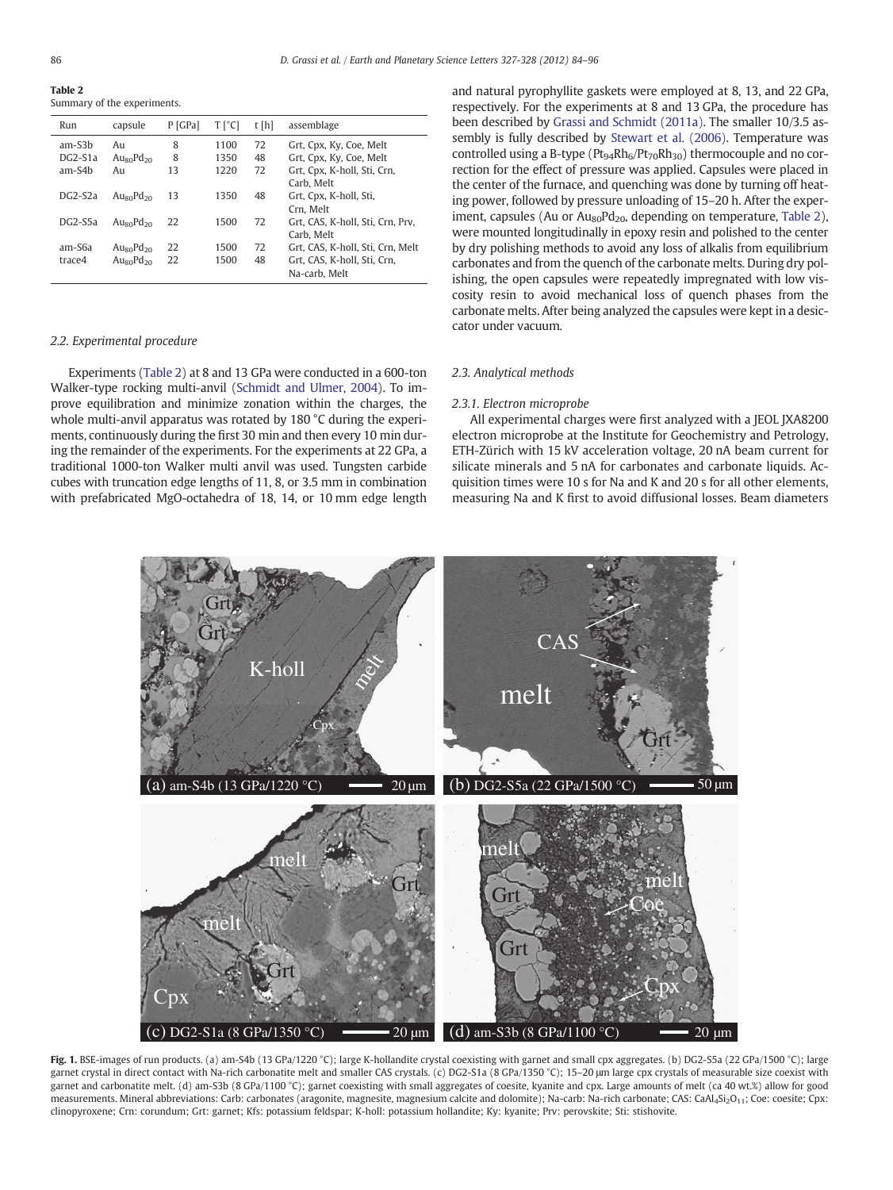<span id="page-2-0"></span>Table 2 Summary of the experiments.

| Run       | capsule              | $P$ [GPa] | $T[^{\circ}C]$ | t [h] | assemblage                       |
|-----------|----------------------|-----------|----------------|-------|----------------------------------|
| $am-S3b$  | Au                   | 8         | 1100           | 72    | Grt, Cpx, Ky, Coe, Melt          |
| $DG2-S1a$ | $Au_{80}Pd_{20}$     | 8         | 1350           | 48    | Grt, Cpx, Ky, Coe, Melt          |
| am-S4b    | Au                   | 13        | 1220           | 72    | Grt, Cpx, K-holl, Sti, Crn,      |
|           |                      |           |                |       | Carb. Melt                       |
| $DC2-S2a$ | AusoPd <sub>20</sub> | 13        | 1350           | 48    | Grt, Cpx, K-holl, Sti,           |
|           |                      |           |                |       | Crn. Melt                        |
| $DG-SSa$  | AusoPd <sub>20</sub> | 22        | 1500           | 72    | Grt. CAS. K-holl. Sti. Crn. Prv. |
|           |                      |           |                |       | Carb. Melt                       |
| am-S6a    | $Au_{80}Pd_{20}$     | 22        | 1500           | 72    | Grt. CAS. K-holl. Sti. Crn. Melt |
| trace4    | $Au_{80}Pd_{20}$     | 22        | 1500           | 48    | Grt. CAS. K-holl. Sti. Crn.      |
|           |                      |           |                |       | Na-carb. Melt                    |
|           |                      |           |                |       |                                  |

### 2.2. Experimental procedure

Experiments (Table 2) at 8 and 13 GPa were conducted in a 600-ton Walker-type rocking multi-anvil ([Schmidt and Ulmer, 2004\)](#page-12-0). To improve equilibration and minimize zonation within the charges, the whole multi-anvil apparatus was rotated by 180 °C during the experiments, continuously during the first 30 min and then every 10 min during the remainder of the experiments. For the experiments at 22 GPa, a traditional 1000-ton Walker multi anvil was used. Tungsten carbide cubes with truncation edge lengths of 11, 8, or 3.5 mm in combination with prefabricated MgO-octahedra of 18, 14, or 10 mm edge length and natural pyrophyllite gaskets were employed at 8, 13, and 22 GPa, respectively. For the experiments at 8 and 13 GPa, the procedure has been described by [Grassi and Schmidt \(2011a\)](#page-11-0). The smaller 10/3.5 assembly is fully described by [Stewart et al. \(2006\)](#page-12-0). Temperature was controlled using a B-type ( $Pt_{94}Rh_{6}/Pt_{70}Rh_{30}$ ) thermocouple and no correction for the effect of pressure was applied. Capsules were placed in the center of the furnace, and quenching was done by turning off heating power, followed by pressure unloading of 15–20 h. After the experiment, capsules (Au or  $Au_{80}Pd_{20}$ , depending on temperature, Table 2), were mounted longitudinally in epoxy resin and polished to the center by dry polishing methods to avoid any loss of alkalis from equilibrium carbonates and from the quench of the carbonate melts. During dry polishing, the open capsules were repeatedly impregnated with low viscosity resin to avoid mechanical loss of quench phases from the carbonate melts. After being analyzed the capsules were kept in a desiccator under vacuum.

### 2.3. Analytical methods

#### 2.3.1. Electron microprobe

All experimental charges were first analyzed with a JEOL JXA8200 electron microprobe at the Institute for Geochemistry and Petrology, ETH-Zürich with 15 kV acceleration voltage, 20 nA beam current for silicate minerals and 5 nA for carbonates and carbonate liquids. Acquisition times were 10 s for Na and K and 20 s for all other elements, measuring Na and K first to avoid diffusional losses. Beam diameters



Fig. 1. BSE-images of run products. (a) am-S4b (13 GPa/1220 °C); large K-hollandite crystal coexisting with garnet and small cpx aggregates. (b) DG2-S5a (22 GPa/1500 °C); large garnet crystal in direct contact with Na-rich carbonatite melt and smaller CAS crystals. (c) DG2-S1a (8 GPa/1350 °C); 15-20 μm large cpx crystals of measurable size coexist with garnet and carbonatite melt. (d) am-S3b (8 GPa/1100 °C); garnet coexisting with small aggregates of coesite, kyanite and cpx. Large amounts of melt (ca 40 wt.%) allow for good measurements. Mineral abbreviations: Carb: carbonates (aragonite, magnesite, magnesium calcite and dolomite); Na-carb: Na-rich carbonate; CAS: CaAl<sub>4</sub>Si<sub>2</sub>O<sub>11</sub>; Coe: coesite; Cpx: clinopyroxene; Crn: corundum; Grt: garnet; Kfs: potassium feldspar; K-holl: potassium hollandite; Ky: kyanite; Prv: perovskite; Sti: stishovite.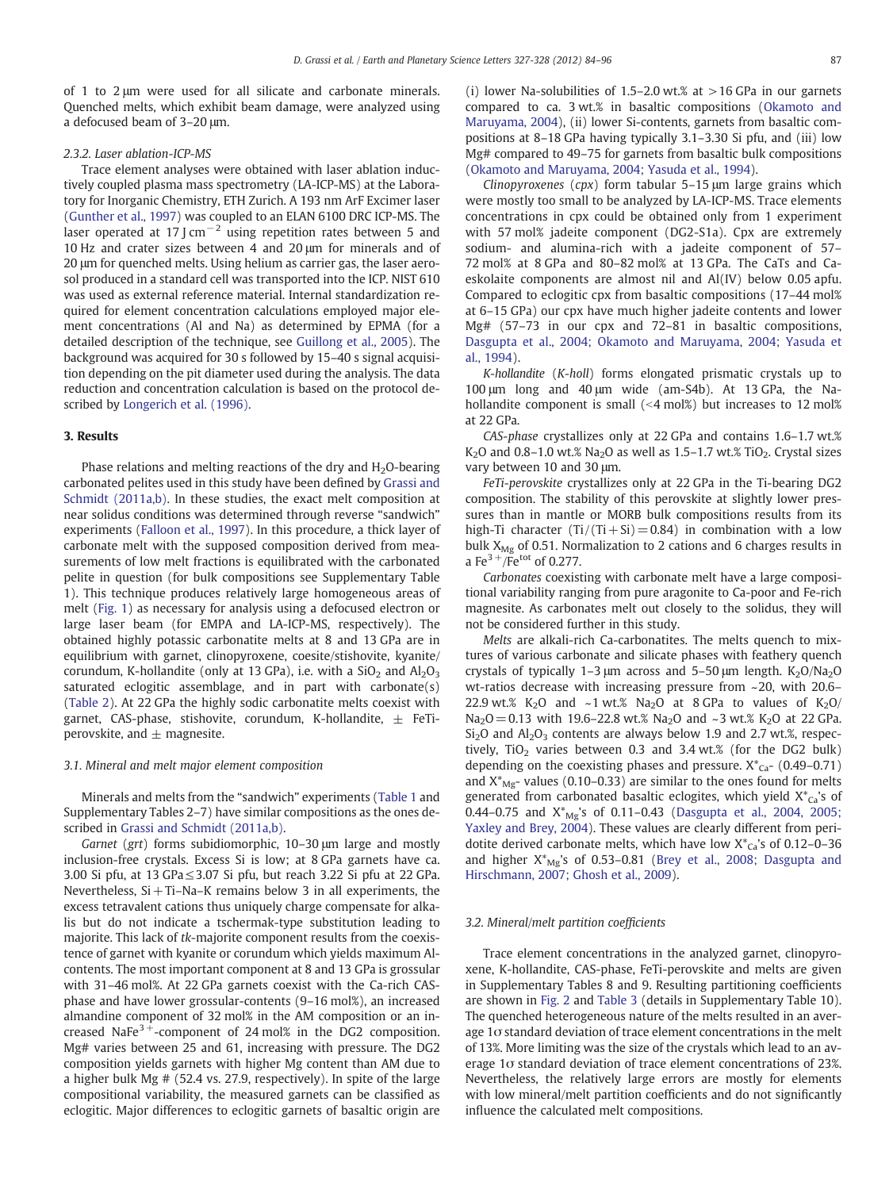of 1 to 2 μm were used for all silicate and carbonate minerals. Quenched melts, which exhibit beam damage, were analyzed using a defocused beam of 3–20 μm.

#### 2.3.2. Laser ablation-ICP-MS

Trace element analyses were obtained with laser ablation inductively coupled plasma mass spectrometry (LA-ICP-MS) at the Laboratory for Inorganic Chemistry, ETH Zurich. A 193 nm ArF Excimer laser [\(Gunther et al., 1997\)](#page-11-0) was coupled to an ELAN 6100 DRC ICP-MS. The laser operated at 17 J cm<sup>-2</sup> using repetition rates between 5 and 10 Hz and crater sizes between 4 and 20 μm for minerals and of 20 μm for quenched melts. Using helium as carrier gas, the laser aerosol produced in a standard cell was transported into the ICP. NIST 610 was used as external reference material. Internal standardization required for element concentration calculations employed major element concentrations (Al and Na) as determined by EPMA (for a detailed description of the technique, see [Guillong et al., 2005](#page-11-0)). The background was acquired for 30 s followed by 15–40 s signal acquisition depending on the pit diameter used during the analysis. The data reduction and concentration calculation is based on the protocol described by [Longerich et al. \(1996\).](#page-11-0)

### 3. Results

Phase relations and melting reactions of the dry and  $H_2O$ -bearing carbonated pelites used in this study have been defined by [Grassi and](#page-11-0) [Schmidt \(2011a,b\)](#page-11-0). In these studies, the exact melt composition at near solidus conditions was determined through reverse "sandwich" experiments [\(Falloon et al., 1997\)](#page-11-0). In this procedure, a thick layer of carbonate melt with the supposed composition derived from measurements of low melt fractions is equilibrated with the carbonated pelite in question (for bulk compositions see Supplementary Table 1). This technique produces relatively large homogeneous areas of melt [\(Fig. 1](#page-2-0)) as necessary for analysis using a defocused electron or large laser beam (for EMPA and LA-ICP-MS, respectively). The obtained highly potassic carbonatite melts at 8 and 13 GPa are in equilibrium with garnet, clinopyroxene, coesite/stishovite, kyanite/ corundum, K-hollandite (only at 13 GPa), i.e. with a  $SiO<sub>2</sub>$  and  $Al<sub>2</sub>O<sub>3</sub>$ saturated eclogitic assemblage, and in part with carbonate(s) [\(Table 2\)](#page-2-0). At 22 GPa the highly sodic carbonatite melts coexist with garnet, CAS-phase, stishovite, corundum, K-hollandite,  $\pm$  FeTiperovskite, and  $\pm$  magnesite.

### 3.1. Mineral and melt major element composition

Minerals and melts from the "sandwich" experiments [\(Table 1](#page-1-0) and Supplementary Tables 2–7) have similar compositions as the ones described in [Grassi and Schmidt \(2011a,b\)](#page-11-0).

Garnet (grt) forms subidiomorphic, 10–30 μm large and mostly inclusion-free crystals. Excess Si is low; at 8 GPa garnets have ca. 3.00 Si pfu, at 13 GPa≤3.07 Si pfu, but reach 3.22 Si pfu at 22 GPa. Nevertheless,  $Si + Ti-Na-K$  remains below 3 in all experiments, the excess tetravalent cations thus uniquely charge compensate for alkalis but do not indicate a tschermak-type substitution leading to majorite. This lack of tk-majorite component results from the coexistence of garnet with kyanite or corundum which yields maximum Alcontents. The most important component at 8 and 13 GPa is grossular with 31–46 mol%. At 22 GPa garnets coexist with the Ca-rich CASphase and have lower grossular-contents (9–16 mol%), an increased almandine component of 32 mol% in the AM composition or an increased NaFe<sup>3+</sup>-component of 24 mol% in the DG2 composition. Mg# varies between 25 and 61, increasing with pressure. The DG2 composition yields garnets with higher Mg content than AM due to a higher bulk Mg # (52.4 vs. 27.9, respectively). In spite of the large compositional variability, the measured garnets can be classified as eclogitic. Major differences to eclogitic garnets of basaltic origin are (i) lower Na-solubilities of 1.5–2.0 wt.% at  $>$  16 GPa in our garnets compared to ca. 3 wt.% in basaltic compositions ([Okamoto and](#page-11-0) [Maruyama, 2004](#page-11-0)), (ii) lower Si-contents, garnets from basaltic compositions at 8–18 GPa having typically 3.1–3.30 Si pfu, and (iii) low Mg# compared to 49–75 for garnets from basaltic bulk compositions [\(Okamoto and Maruyama, 2004; Yasuda et al., 1994\)](#page-11-0).

Clinopyroxenes (cpx) form tabular 5–15 μm large grains which were mostly too small to be analyzed by LA-ICP-MS. Trace elements concentrations in cpx could be obtained only from 1 experiment with 57 mol% jadeite component (DG2-S1a). Cpx are extremely sodium- and alumina-rich with a jadeite component of 57– 72 mol% at 8 GPa and 80–82 mol% at 13 GPa. The CaTs and Caeskolaite components are almost nil and Al(IV) below 0.05 apfu. Compared to eclogitic cpx from basaltic compositions (17–44 mol% at 6–15 GPa) our cpx have much higher jadeite contents and lower Mg# (57–73 in our cpx and 72–81 in basaltic compositions, [Dasgupta et al., 2004; Okamoto and Maruyama, 2004; Yasuda et](#page-11-0) [al., 1994\)](#page-11-0).

K-hollandite (K-holl) forms elongated prismatic crystals up to 100 μm long and 40 μm wide (am-S4b). At 13 GPa, the Nahollandite component is small  $(A \text{ mol})$  but increases to 12 mol% at 22 GPa.

CAS-phase crystallizes only at 22 GPa and contains 1.6–1.7 wt.% K<sub>2</sub>O and 0.8–1.0 wt.% Na<sub>2</sub>O as well as 1.5–1.7 wt.% TiO<sub>2</sub>. Crystal sizes vary between 10 and 30 μm.

FeTi-perovskite crystallizes only at 22 GPa in the Ti-bearing DG2 composition. The stability of this perovskite at slightly lower pressures than in mantle or MORB bulk compositions results from its high-Ti character  $(Ti/(Ti + Si) = 0.84)$  in combination with a low bulk  $X_{Mg}$  of 0.51. Normalization to 2 cations and 6 charges results in a Fe $3^+$ /Fe<sup>tot</sup> of 0.277.

Carbonates coexisting with carbonate melt have a large compositional variability ranging from pure aragonite to Ca-poor and Fe-rich magnesite. As carbonates melt out closely to the solidus, they will not be considered further in this study.

Melts are alkali-rich Ca-carbonatites. The melts quench to mixtures of various carbonate and silicate phases with feathery quench crystals of typically 1–3  $\mu$ m across and 5–50  $\mu$ m length. K<sub>2</sub>O/Na<sub>2</sub>O wt-ratios decrease with increasing pressure from ~20, with 20.6– 22.9 wt.% K<sub>2</sub>O and ~1 wt.% Na<sub>2</sub>O at 8 GPa to values of K<sub>2</sub>O/  $Na<sub>2</sub>O = 0.13$  with 19.6–22.8 wt.% Na<sub>2</sub>O and ~3 wt.% K<sub>2</sub>O at 22 GPa.  $Si<sub>2</sub>O$  and  $Al<sub>2</sub>O<sub>3</sub>$  contents are always below 1.9 and 2.7 wt.%, respectively, TiO<sub>2</sub> varies between 0.3 and 3.4 wt.% (for the DG2 bulk) depending on the coexisting phases and pressure.  $X^*_{Ca}$ - (0.49–0.71) and  $X^*_{\text{Me}^-}$  values (0.10–0.33) are similar to the ones found for melts generated from carbonated basaltic eclogites, which yield  $X^*_{Ca}$ 's of 0.44–0.75 and  $X^*_{Mg}$ 's of 0.11–0.43 [\(Dasgupta et al., 2004, 2005;](#page-11-0) [Yaxley and Brey, 2004](#page-11-0)). These values are clearly different from peridotite derived carbonate melts, which have low  $X^*_{Ca}$ 's of 0.12–0–36 and higher  $X^*_{\text{Me}}$ 's of 0.53–0.81 [\(Brey et al., 2008; Dasgupta and](#page-11-0) [Hirschmann, 2007; Ghosh et al., 2009\)](#page-11-0).

#### 3.2. Mineral/melt partition coefficients

Trace element concentrations in the analyzed garnet, clinopyroxene, K-hollandite, CAS-phase, FeTi-perovskite and melts are given in Supplementary Tables 8 and 9. Resulting partitioning coefficients are shown in [Fig. 2](#page-4-0) and [Table 3](#page-5-0) (details in Supplementary Table 10). The quenched heterogeneous nature of the melts resulted in an average 1σ standard deviation of trace element concentrations in the melt of 13%. More limiting was the size of the crystals which lead to an average 1σ standard deviation of trace element concentrations of 23%. Nevertheless, the relatively large errors are mostly for elements with low mineral/melt partition coefficients and do not significantly influence the calculated melt compositions.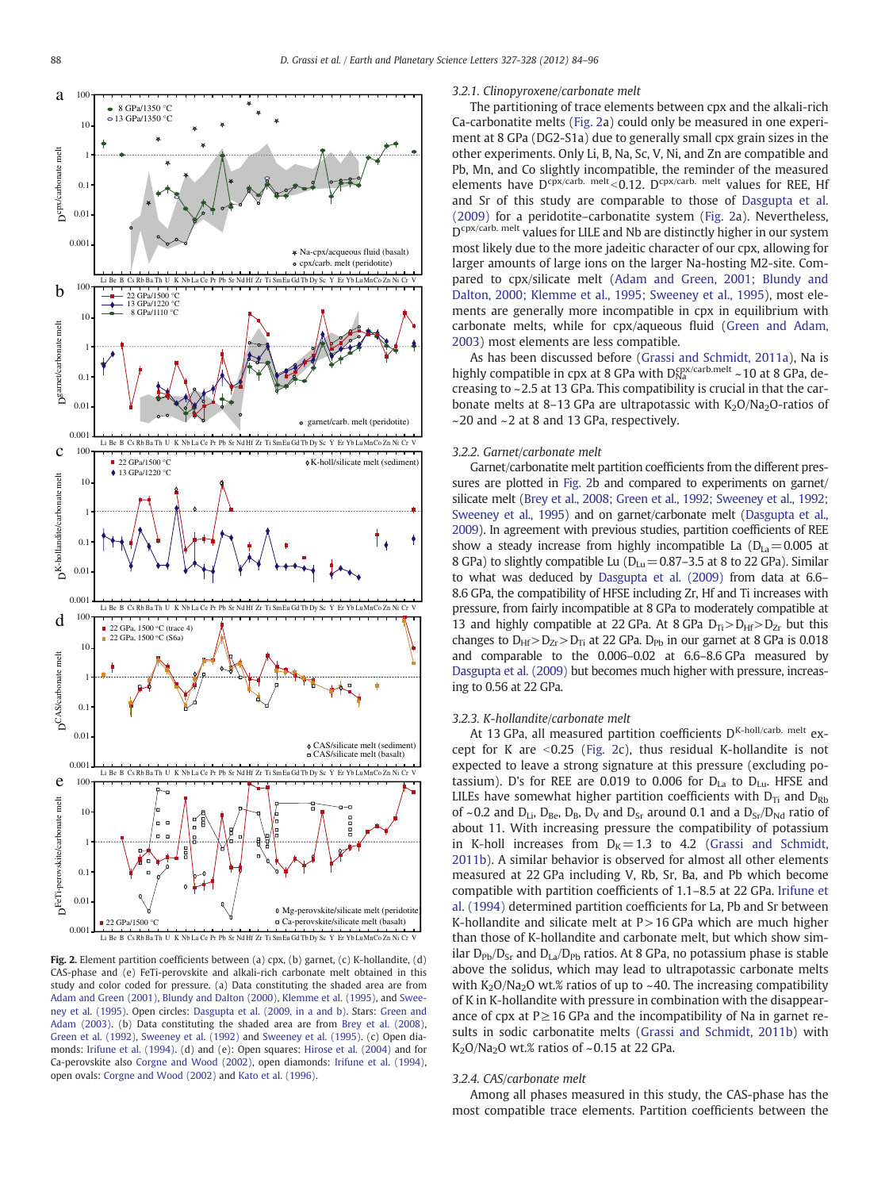<span id="page-4-0"></span>

Fig. 2. Element partition coefficients between (a) cpx, (b) garnet, (c) K-hollandite, (d) CAS-phase and (e) FeTi-perovskite and alkali-rich carbonate melt obtained in this study and color coded for pressure. (a) Data constituting the shaded area are from [Adam and Green \(2001\)](#page-11-0), [Blundy and Dalton \(2000\)](#page-11-0), [Klemme et al. \(1995\),](#page-11-0) and [Swee](#page-12-0)[ney et al. \(1995\)](#page-12-0). Open circles: [Dasgupta et al. \(2009, in a and b\)](#page-11-0). Stars: [Green and](#page-11-0) [Adam \(2003\)](#page-11-0). (b) Data constituting the shaded area are from [Brey et al. \(2008\)](#page-11-0), [Green et al. \(1992\),](#page-11-0) [Sweeney et al. \(1992\)](#page-12-0) and [Sweeney et al. \(1995\).](#page-12-0) (c) Open diamonds: [Irifune et al. \(1994\).](#page-11-0) (d) and (e): Open squares: [Hirose et al. \(2004\)](#page-11-0) and for Ca-perovskite also [Corgne and Wood \(2002\)](#page-11-0), open diamonds: [Irifune et al. \(1994\)](#page-11-0), open ovals: [Corgne and Wood \(2002\)](#page-11-0) and [Kato et al. \(1996\).](#page-11-0)

### 3.2.1. Clinopyroxene/carbonate melt

The partitioning of trace elements between cpx and the alkali-rich Ca-carbonatite melts (Fig. 2a) could only be measured in one experiment at 8 GPa (DG2-S1a) due to generally small cpx grain sizes in the other experiments. Only Li, B, Na, Sc, V, Ni, and Zn are compatible and Pb, Mn, and Co slightly incompatible, the reminder of the measured elements have  $D^{cpx/carb. \text{ melt}}$  <0.12.  $D^{cpx/carb. \text{ melt}}$  values for REE, Hf and Sr of this study are comparable to those of [Dasgupta et al.](#page-11-0) [\(2009\)](#page-11-0) for a peridotite–carbonatite system (Fig. 2a). Nevertheless, D<sup>cpx/carb. melt</sup> values for LILE and Nb are distinctly higher in our system most likely due to the more jadeitic character of our cpx, allowing for larger amounts of large ions on the larger Na-hosting M2-site. Compared to cpx/silicate melt [\(Adam and Green, 2001; Blundy and](#page-11-0) [Dalton, 2000; Klemme et al., 1995; Sweeney et al., 1995\)](#page-11-0), most elements are generally more incompatible in cpx in equilibrium with carbonate melts, while for cpx/aqueous fluid ([Green and Adam,](#page-11-0) [2003\)](#page-11-0) most elements are less compatible.

As has been discussed before ([Grassi and Schmidt, 2011a](#page-11-0)), Na is highly compatible in cpx at 8 GPa with  $D_{\text{Na}}^{\text{cpx/carb,melt}}$  ~10 at 8 GPa, decreasing to ~2.5 at 13 GPa. This compatibility is crucial in that the carbonate melts at 8–13 GPa are ultrapotassic with  $K_2O/Na_2O$ -ratios of  $\sim$  20 and  $\sim$  2 at 8 and 13 GPa, respectively.

### 3.2.2. Garnet/carbonate melt

Garnet/carbonatite melt partition coefficients from the different pressures are plotted in Fig. 2b and compared to experiments on garnet/ silicate melt ([Brey et al., 2008; Green et al., 1992; Sweeney et al., 1992;](#page-11-0) [Sweeney et al., 1995\)](#page-11-0) and on garnet/carbonate melt [\(Dasgupta et al.,](#page-11-0) [2009](#page-11-0)). In agreement with previous studies, partition coefficients of REE show a steady increase from highly incompatible La  $(D<sub>La</sub>=0.005$  at 8 GPa) to slightly compatible Lu ( $D_{\text{Lu}}$  = 0.87–3.5 at 8 to 22 GPa). Similar to what was deduced by [Dasgupta et al. \(2009\)](#page-11-0) from data at 6.6– 8.6 GPa, the compatibility of HFSE including Zr, Hf and Ti increases with pressure, from fairly incompatible at 8 GPa to moderately compatible at 13 and highly compatible at 22 GPa. At 8 GPa  $D_{Ti}$   $> D_{Hf}$   $> D_{Zr}$  but this changes to  $D_{Hf}$  >  $D_{Zr}$  >  $D_{Ti}$  at 22 GPa.  $D_{Pb}$  in our garnet at 8 GPa is 0.018 and comparable to the 0.006–0.02 at 6.6–8.6 GPa measured by [Dasgupta et al. \(2009\)](#page-11-0) but becomes much higher with pressure, increasing to 0.56 at 22 GPa.

#### 3.2.3. K-hollandite/carbonate melt

At 13 GPa, all measured partition coefficients  $D^{K-holl/carb. \text{ melt}}$  except for K are  $\leq 0.25$  (Fig. 2c), thus residual K-hollandite is not expected to leave a strong signature at this pressure (excluding potassium). D's for REE are 0.019 to 0.006 for  $D_{La}$  to  $D_{Lu}$ . HFSE and LILEs have somewhat higher partition coefficients with  $D_{Ti}$  and  $D_{Rh}$ of ~0.2 and  $D_{Li}$ ,  $D_{Be}$ ,  $D_{B}$ ,  $D_{V}$  and  $D_{Sr}$  around 0.1 and a  $D_{Sr}/D_{Nd}$  ratio of about 11. With increasing pressure the compatibility of potassium in K-holl increases from  $D_K = 1.3$  to 4.2 ([Grassi and Schmidt,](#page-11-0) [2011b](#page-11-0)). A similar behavior is observed for almost all other elements measured at 22 GPa including V, Rb, Sr, Ba, and Pb which become compatible with partition coefficients of 1.1–8.5 at 22 GPa. [Irifune et](#page-11-0) [al. \(1994\)](#page-11-0) determined partition coefficients for La, Pb and Sr between K-hollandite and silicate melt at  $P > 16$  GPa which are much higher than those of K-hollandite and carbonate melt, but which show similar  $D_{Pb}/D_{Sr}$  and  $D_{La}/D_{Pb}$  ratios. At 8 GPa, no potassium phase is stable above the solidus, which may lead to ultrapotassic carbonate melts with  $K_2O/Na_2O$  wt.% ratios of up to ~40. The increasing compatibility of K in K-hollandite with pressure in combination with the disappearance of cpx at  $P \ge 16$  GPa and the incompatibility of Na in garnet results in sodic carbonatite melts ([Grassi and Schmidt, 2011b\)](#page-11-0) with  $K<sub>2</sub>O/Na<sub>2</sub>O wt.*$  ratios of ~0.15 at 22 GPa.

#### 3.2.4. CAS/carbonate melt

Among all phases measured in this study, the CAS-phase has the most compatible trace elements. Partition coefficients between the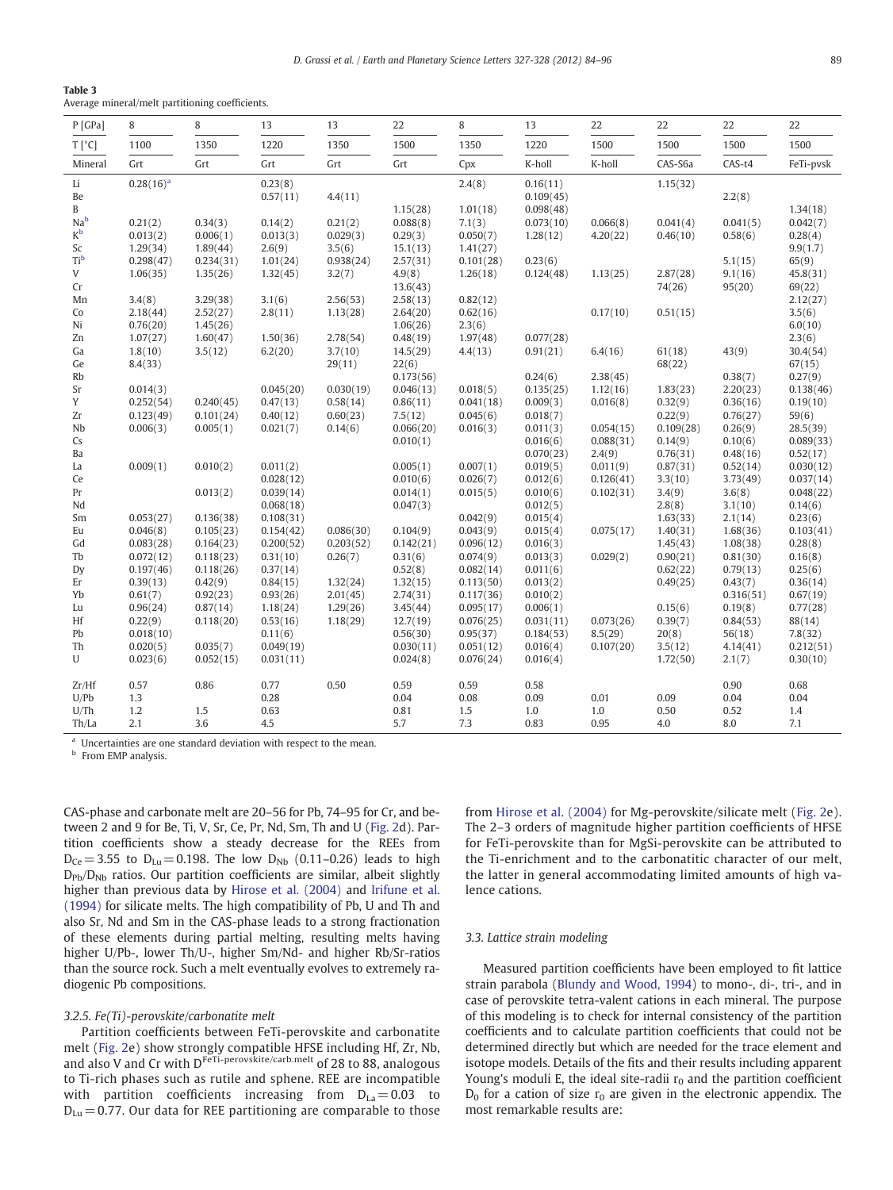<span id="page-5-0"></span>

| Table 3 |                                                 |  |
|---------|-------------------------------------------------|--|
|         | Average mineral/melt partitioning coefficients. |  |

| 1100<br>1350<br>1220<br>1350<br>1500<br>1220<br>1500<br>1500<br>$T[^{\circ}C]$<br>1350<br>1500<br>1500<br>Grt<br>Grt<br>Grt<br>Grt<br>Grt<br>K-holl<br>K-holl<br>CAS-S6a<br>$CAS-t4$<br>Mineral<br>Cpx<br>$0.28(16)^{a}$<br>0.23(8)<br>2.4(8)<br>0.16(11)<br>1.15(32)<br>Li<br>0.57(11)<br>0.109(45)<br>2.2(8)<br>Be<br>4.4(11)<br>B<br>1.15(28)<br>1.01(18)<br>0.098(48)<br>1.34(18)<br>Na <sup>b</sup><br>0.34(3)<br>0.088(8)<br>0.21(2)<br>0.14(2)<br>0.21(2)<br>7.1(3)<br>0.073(10)<br>0.066(8)<br>0.041(4)<br>0.042(7)<br>0.041(5)<br>$K^b$<br>0.013(2)<br>0.006(1)<br>0.29(3)<br>0.050(7)<br>0.013(3)<br>0.029(3)<br>1.28(12)<br>4.20(22)<br>0.46(10)<br>0.58(6)<br>0.28(4)<br>Sc<br>1.29(34)<br>1.89(44)<br>2.6(9)<br>3.5(6)<br>15.1(13)<br>1.41(27)<br>9.9(1.7)<br>Tib<br>0.298(47)<br>0.234(31)<br>1.01(24)<br>0.938(24)<br>2.57(31)<br>0.101(28)<br>0.23(6)<br>5.1(15)<br>65(9)<br>V<br>1.35(26)<br>4.9(8)<br>45.8(31)<br>1.06(35)<br>1.32(45)<br>3.2(7)<br>1.26(18)<br>0.124(48)<br>1.13(25)<br>2.87(28)<br>9.1(16)<br>Cr<br>13.6(43)<br>74(26)<br>95(20)<br>69(22)<br>3.4(8)<br>3.29(38)<br>3.1(6)<br>2.56(53)<br>2.58(13)<br>0.82(12)<br>2.12(27)<br>Mn<br>2.18(44)<br>2.52(27)<br>2.8(11)<br>1.13(28)<br>2.64(20)<br>0.62(16)<br>0.17(10)<br>Co<br>0.51(15)<br>3.5(6)<br>Ni<br>0.76(20)<br>1.45(26)<br>1.06(26)<br>2.3(6)<br>6.0(10) | $P$ [GPa] | 8 | 8 | 13 | 13 | 22 | 8 | 13 | 22 | 22 | 22 | 22        |
|----------------------------------------------------------------------------------------------------------------------------------------------------------------------------------------------------------------------------------------------------------------------------------------------------------------------------------------------------------------------------------------------------------------------------------------------------------------------------------------------------------------------------------------------------------------------------------------------------------------------------------------------------------------------------------------------------------------------------------------------------------------------------------------------------------------------------------------------------------------------------------------------------------------------------------------------------------------------------------------------------------------------------------------------------------------------------------------------------------------------------------------------------------------------------------------------------------------------------------------------------------------------------------------------------------------------------------------------------|-----------|---|---|----|----|----|---|----|----|----|----|-----------|
|                                                                                                                                                                                                                                                                                                                                                                                                                                                                                                                                                                                                                                                                                                                                                                                                                                                                                                                                                                                                                                                                                                                                                                                                                                                                                                                                                    |           |   |   |    |    |    |   |    |    |    |    |           |
|                                                                                                                                                                                                                                                                                                                                                                                                                                                                                                                                                                                                                                                                                                                                                                                                                                                                                                                                                                                                                                                                                                                                                                                                                                                                                                                                                    |           |   |   |    |    |    |   |    |    |    |    | FeTi-pvsk |
|                                                                                                                                                                                                                                                                                                                                                                                                                                                                                                                                                                                                                                                                                                                                                                                                                                                                                                                                                                                                                                                                                                                                                                                                                                                                                                                                                    |           |   |   |    |    |    |   |    |    |    |    |           |
|                                                                                                                                                                                                                                                                                                                                                                                                                                                                                                                                                                                                                                                                                                                                                                                                                                                                                                                                                                                                                                                                                                                                                                                                                                                                                                                                                    |           |   |   |    |    |    |   |    |    |    |    |           |
|                                                                                                                                                                                                                                                                                                                                                                                                                                                                                                                                                                                                                                                                                                                                                                                                                                                                                                                                                                                                                                                                                                                                                                                                                                                                                                                                                    |           |   |   |    |    |    |   |    |    |    |    |           |
|                                                                                                                                                                                                                                                                                                                                                                                                                                                                                                                                                                                                                                                                                                                                                                                                                                                                                                                                                                                                                                                                                                                                                                                                                                                                                                                                                    |           |   |   |    |    |    |   |    |    |    |    |           |
|                                                                                                                                                                                                                                                                                                                                                                                                                                                                                                                                                                                                                                                                                                                                                                                                                                                                                                                                                                                                                                                                                                                                                                                                                                                                                                                                                    |           |   |   |    |    |    |   |    |    |    |    |           |
|                                                                                                                                                                                                                                                                                                                                                                                                                                                                                                                                                                                                                                                                                                                                                                                                                                                                                                                                                                                                                                                                                                                                                                                                                                                                                                                                                    |           |   |   |    |    |    |   |    |    |    |    |           |
|                                                                                                                                                                                                                                                                                                                                                                                                                                                                                                                                                                                                                                                                                                                                                                                                                                                                                                                                                                                                                                                                                                                                                                                                                                                                                                                                                    |           |   |   |    |    |    |   |    |    |    |    |           |
|                                                                                                                                                                                                                                                                                                                                                                                                                                                                                                                                                                                                                                                                                                                                                                                                                                                                                                                                                                                                                                                                                                                                                                                                                                                                                                                                                    |           |   |   |    |    |    |   |    |    |    |    |           |
|                                                                                                                                                                                                                                                                                                                                                                                                                                                                                                                                                                                                                                                                                                                                                                                                                                                                                                                                                                                                                                                                                                                                                                                                                                                                                                                                                    |           |   |   |    |    |    |   |    |    |    |    |           |
|                                                                                                                                                                                                                                                                                                                                                                                                                                                                                                                                                                                                                                                                                                                                                                                                                                                                                                                                                                                                                                                                                                                                                                                                                                                                                                                                                    |           |   |   |    |    |    |   |    |    |    |    |           |
|                                                                                                                                                                                                                                                                                                                                                                                                                                                                                                                                                                                                                                                                                                                                                                                                                                                                                                                                                                                                                                                                                                                                                                                                                                                                                                                                                    |           |   |   |    |    |    |   |    |    |    |    |           |
|                                                                                                                                                                                                                                                                                                                                                                                                                                                                                                                                                                                                                                                                                                                                                                                                                                                                                                                                                                                                                                                                                                                                                                                                                                                                                                                                                    |           |   |   |    |    |    |   |    |    |    |    |           |
| 1.07(27)<br>1.60(47)<br>2.78(54)<br>0.48(19)<br>1.97(48)<br>0.077(28)<br>2.3(6)<br>Zn<br>1.50(36)                                                                                                                                                                                                                                                                                                                                                                                                                                                                                                                                                                                                                                                                                                                                                                                                                                                                                                                                                                                                                                                                                                                                                                                                                                                  |           |   |   |    |    |    |   |    |    |    |    |           |
| 1.8(10)<br>3.5(12)<br>3.7(10)<br>14.5(29)<br>0.91(21)<br>Ga<br>6.2(20)<br>4.4(13)<br>6.4(16)<br>61(18)<br>43(9)<br>30.4(54)                                                                                                                                                                                                                                                                                                                                                                                                                                                                                                                                                                                                                                                                                                                                                                                                                                                                                                                                                                                                                                                                                                                                                                                                                        |           |   |   |    |    |    |   |    |    |    |    |           |
| 8.4(33)<br>29(11)<br>22(6)<br>68(22)<br>67(15)<br>Ge                                                                                                                                                                                                                                                                                                                                                                                                                                                                                                                                                                                                                                                                                                                                                                                                                                                                                                                                                                                                                                                                                                                                                                                                                                                                                               |           |   |   |    |    |    |   |    |    |    |    |           |
| 0.27(9)<br>Rb<br>0.173(56)<br>0.24(6)<br>2.38(45)<br>0.38(7)                                                                                                                                                                                                                                                                                                                                                                                                                                                                                                                                                                                                                                                                                                                                                                                                                                                                                                                                                                                                                                                                                                                                                                                                                                                                                       |           |   |   |    |    |    |   |    |    |    |    |           |
| 0.045(20)<br>0.135(25)<br>1.12(16)<br>2.20(23)<br>Sr<br>0.014(3)<br>0.030(19)<br>0.046(13)<br>0.018(5)<br>1.83(23)                                                                                                                                                                                                                                                                                                                                                                                                                                                                                                                                                                                                                                                                                                                                                                                                                                                                                                                                                                                                                                                                                                                                                                                                                                 |           |   |   |    |    |    |   |    |    |    |    | 0.138(46) |
| 0.240(45)<br>Y<br>0.252(54)<br>0.47(13)<br>0.58(14)<br>0.86(11)<br>0.041(18)<br>0.009(3)<br>0.016(8)<br>0.32(9)<br>0.36(16)<br>0.19(10)                                                                                                                                                                                                                                                                                                                                                                                                                                                                                                                                                                                                                                                                                                                                                                                                                                                                                                                                                                                                                                                                                                                                                                                                            |           |   |   |    |    |    |   |    |    |    |    |           |
| Ζr<br>0.123(49)<br>0.101(24)<br>0.40(12)<br>0.60(23)<br>7.5(12)<br>0.045(6)<br>0.018(7)<br>0.22(9)<br>0.76(27)<br>59(6)                                                                                                                                                                                                                                                                                                                                                                                                                                                                                                                                                                                                                                                                                                                                                                                                                                                                                                                                                                                                                                                                                                                                                                                                                            |           |   |   |    |    |    |   |    |    |    |    |           |
| 0.066(20)<br>28.5(39)<br>Nb<br>0.006(3)<br>0.005(1)<br>0.021(7)<br>0.14(6)<br>0.016(3)<br>0.011(3)<br>0.054(15)<br>0.109(28)<br>0.26(9)                                                                                                                                                                                                                                                                                                                                                                                                                                                                                                                                                                                                                                                                                                                                                                                                                                                                                                                                                                                                                                                                                                                                                                                                            |           |   |   |    |    |    |   |    |    |    |    |           |
| 0.010(1)<br>0.016(6)<br>0.088(31)<br>0.10(6)<br>Cs<br>0.14(9)                                                                                                                                                                                                                                                                                                                                                                                                                                                                                                                                                                                                                                                                                                                                                                                                                                                                                                                                                                                                                                                                                                                                                                                                                                                                                      |           |   |   |    |    |    |   |    |    |    |    | 0.089(33) |
| 0.070(23)<br>Ba<br>2.4(9)<br>0.76(31)<br>0.48(16)<br>0.52(17)                                                                                                                                                                                                                                                                                                                                                                                                                                                                                                                                                                                                                                                                                                                                                                                                                                                                                                                                                                                                                                                                                                                                                                                                                                                                                      |           |   |   |    |    |    |   |    |    |    |    |           |
| 0.009(1)<br>0.010(2)<br>0.011(2)<br>0.007(1)<br>0.019(5)<br>0.011(9)<br>0.87(31)<br>La<br>0.005(1)<br>0.52(14)                                                                                                                                                                                                                                                                                                                                                                                                                                                                                                                                                                                                                                                                                                                                                                                                                                                                                                                                                                                                                                                                                                                                                                                                                                     |           |   |   |    |    |    |   |    |    |    |    | 0.030(12) |
| 0.028(12)<br>0.010(6)<br>0.026(7)<br>0.012(6)<br>0.126(41)<br>3.3(10)<br>3.73(49)<br>Ce                                                                                                                                                                                                                                                                                                                                                                                                                                                                                                                                                                                                                                                                                                                                                                                                                                                                                                                                                                                                                                                                                                                                                                                                                                                            |           |   |   |    |    |    |   |    |    |    |    | 0.037(14) |
| 0.039(14)<br>0.010(6)<br>0.102(31)<br>Pr<br>0.013(2)<br>0.014(1)<br>0.015(5)<br>3.4(9)<br>3.6(8)                                                                                                                                                                                                                                                                                                                                                                                                                                                                                                                                                                                                                                                                                                                                                                                                                                                                                                                                                                                                                                                                                                                                                                                                                                                   |           |   |   |    |    |    |   |    |    |    |    | 0.048(22) |
| 0.068(18)<br>0.047(3)<br>0.012(5)<br>2.8(8)<br>0.14(6)<br>Nd<br>3.1(10)                                                                                                                                                                                                                                                                                                                                                                                                                                                                                                                                                                                                                                                                                                                                                                                                                                                                                                                                                                                                                                                                                                                                                                                                                                                                            |           |   |   |    |    |    |   |    |    |    |    |           |
| 0.015(4)<br>Sm<br>0.053(27)<br>0.136(38)<br>0.108(31)<br>0.042(9)<br>1.63(33)<br>2.1(14)<br>0.23(6)                                                                                                                                                                                                                                                                                                                                                                                                                                                                                                                                                                                                                                                                                                                                                                                                                                                                                                                                                                                                                                                                                                                                                                                                                                                |           |   |   |    |    |    |   |    |    |    |    |           |
| 0.046(8)<br>0.105(23)<br>0.043(9)<br>0.015(4)<br>Eu<br>0.154(42)<br>0.086(30)<br>0.104(9)<br>0.075(17)<br>1.40(31)<br>1.68(36)                                                                                                                                                                                                                                                                                                                                                                                                                                                                                                                                                                                                                                                                                                                                                                                                                                                                                                                                                                                                                                                                                                                                                                                                                     |           |   |   |    |    |    |   |    |    |    |    | 0.103(41) |
| Gd<br>0.083(28)<br>0.164(23)<br>0.200(52)<br>0.203(52)<br>0.096(12)<br>0.016(3)<br>1.45(43)<br>0.28(8)<br>0.142(21)<br>1.08(38)                                                                                                                                                                                                                                                                                                                                                                                                                                                                                                                                                                                                                                                                                                                                                                                                                                                                                                                                                                                                                                                                                                                                                                                                                    |           |   |   |    |    |    |   |    |    |    |    |           |
| Tb<br>0.072(12)<br>0.118(23)<br>0.31(10)<br>0.26(7)<br>0.31(6)<br>0.074(9)<br>0.013(3)<br>0.029(2)<br>0.90(21)<br>0.81(30)<br>0.16(8)                                                                                                                                                                                                                                                                                                                                                                                                                                                                                                                                                                                                                                                                                                                                                                                                                                                                                                                                                                                                                                                                                                                                                                                                              |           |   |   |    |    |    |   |    |    |    |    |           |
| 0.118(26)<br>0.37(14)<br>0.52(8)<br>0.62(22)<br>0.25(6)<br>0.197(46)<br>0.082(14)<br>0.011(6)<br>0.79(13)<br>Dy                                                                                                                                                                                                                                                                                                                                                                                                                                                                                                                                                                                                                                                                                                                                                                                                                                                                                                                                                                                                                                                                                                                                                                                                                                    |           |   |   |    |    |    |   |    |    |    |    |           |
| 0.39(13)<br>0.42(9)<br>0.84(15)<br>1.32(24)<br>1.32(15)<br>0.113(50)<br>0.013(2)<br>0.49(25)<br>0.36(14)<br>Er<br>0.43(7)                                                                                                                                                                                                                                                                                                                                                                                                                                                                                                                                                                                                                                                                                                                                                                                                                                                                                                                                                                                                                                                                                                                                                                                                                          |           |   |   |    |    |    |   |    |    |    |    |           |
| 0.92(23)<br>Yb<br>0.61(7)<br>0.93(26)<br>2.01(45)<br>2.74(31)<br>0.117(36)<br>0.010(2)<br>0.316(51)<br>0.67(19)                                                                                                                                                                                                                                                                                                                                                                                                                                                                                                                                                                                                                                                                                                                                                                                                                                                                                                                                                                                                                                                                                                                                                                                                                                    |           |   |   |    |    |    |   |    |    |    |    |           |
| 1.29(26)<br>3.45(44)<br>0.095(17)<br>0.006(1)<br>0.96(24)<br>0.87(14)<br>1.18(24)<br>0.15(6)<br>0.19(8)<br>0.77(28)<br>Lu                                                                                                                                                                                                                                                                                                                                                                                                                                                                                                                                                                                                                                                                                                                                                                                                                                                                                                                                                                                                                                                                                                                                                                                                                          |           |   |   |    |    |    |   |    |    |    |    |           |
| Hf<br>0.22(9)<br>0.118(20)<br>0.53(16)<br>1.18(29)<br>12.7(19)<br>0.076(25)<br>0.031(11)<br>0.073(26)<br>0.39(7)<br>88(14)<br>0.84(53)                                                                                                                                                                                                                                                                                                                                                                                                                                                                                                                                                                                                                                                                                                                                                                                                                                                                                                                                                                                                                                                                                                                                                                                                             |           |   |   |    |    |    |   |    |    |    |    |           |
| Pb<br>0.018(10)<br>0.56(30)<br>0.95(37)<br>0.184(53)<br>20(8)<br>7.8(32)<br>0.11(6)<br>8.5(29)<br>56(18)                                                                                                                                                                                                                                                                                                                                                                                                                                                                                                                                                                                                                                                                                                                                                                                                                                                                                                                                                                                                                                                                                                                                                                                                                                           |           |   |   |    |    |    |   |    |    |    |    |           |
| Th<br>0.020(5)<br>0.035(7)<br>0.049(19)<br>0.030(11)<br>0.051(12)<br>0.016(4)<br>0.107(20)<br>3.5(12)<br>4.14(41)                                                                                                                                                                                                                                                                                                                                                                                                                                                                                                                                                                                                                                                                                                                                                                                                                                                                                                                                                                                                                                                                                                                                                                                                                                  |           |   |   |    |    |    |   |    |    |    |    | 0.212(51) |
| U<br>0.023(6)<br>0.052(15)<br>0.031(11)<br>0.024(8)<br>0.076(24)<br>0.016(4)<br>1.72(50)<br>2.1(7)<br>0.30(10)                                                                                                                                                                                                                                                                                                                                                                                                                                                                                                                                                                                                                                                                                                                                                                                                                                                                                                                                                                                                                                                                                                                                                                                                                                     |           |   |   |    |    |    |   |    |    |    |    |           |
| 0.57<br>0.86<br>0.77<br>0.50<br>0.59<br>0.59<br>0.58<br>0.90<br>0.68<br>Zr/Hf                                                                                                                                                                                                                                                                                                                                                                                                                                                                                                                                                                                                                                                                                                                                                                                                                                                                                                                                                                                                                                                                                                                                                                                                                                                                      |           |   |   |    |    |    |   |    |    |    |    |           |
| 0.28<br>0.04<br>0.09<br>0.01<br>0.04<br>0.04<br>U/Pb<br>1.3<br>0.08<br>0.09                                                                                                                                                                                                                                                                                                                                                                                                                                                                                                                                                                                                                                                                                                                                                                                                                                                                                                                                                                                                                                                                                                                                                                                                                                                                        |           |   |   |    |    |    |   |    |    |    |    |           |
| $U$ /Th<br>1.2<br>0.63<br>0.81<br>1.5<br>1.0<br>0.50<br>0.52<br>1.4<br>1.5<br>1.0                                                                                                                                                                                                                                                                                                                                                                                                                                                                                                                                                                                                                                                                                                                                                                                                                                                                                                                                                                                                                                                                                                                                                                                                                                                                  |           |   |   |    |    |    |   |    |    |    |    |           |
| 7.3<br>0.83<br>2.1<br>3.6<br>4.5<br>5.7<br>0.95<br>4.0<br>8.0<br>7.1<br>Th/La                                                                                                                                                                                                                                                                                                                                                                                                                                                                                                                                                                                                                                                                                                                                                                                                                                                                                                                                                                                                                                                                                                                                                                                                                                                                      |           |   |   |    |    |    |   |    |    |    |    |           |

Uncertainties are one standard deviation with respect to the mean.

<sup>b</sup> From EMP analysis.

CAS-phase and carbonate melt are 20–56 for Pb, 74–95 for Cr, and between 2 and 9 for Be, Ti, V, Sr, Ce, Pr, Nd, Sm, Th and U [\(Fig. 2](#page-4-0)d). Partition coefficients show a steady decrease for the REEs from  $D_{Ce}$  = 3.55 to  $D_{Lu}$  = 0.198. The low  $D_{Nb}$  (0.11–0.26) leads to high  $D_{Pb}/D_{Nb}$  ratios. Our partition coefficients are similar, albeit slightly higher than previous data by [Hirose et al. \(2004\)](#page-11-0) and [Irifune et al.](#page-11-0) [\(1994\)](#page-11-0) for silicate melts. The high compatibility of Pb, U and Th and also Sr, Nd and Sm in the CAS-phase leads to a strong fractionation of these elements during partial melting, resulting melts having higher U/Pb-, lower Th/U-, higher Sm/Nd- and higher Rb/Sr-ratios than the source rock. Such a melt eventually evolves to extremely radiogenic Pb compositions.

### 3.2.5. Fe(Ti)-perovskite/carbonatite melt

Partition coefficients between FeTi-perovskite and carbonatite melt ([Fig. 2e](#page-4-0)) show strongly compatible HFSE including Hf, Zr, Nb, and also V and Cr with D<sup>FeTi-perovskite/carb.melt</sup> of 28 to 88, analogous to Ti-rich phases such as rutile and sphene. REE are incompatible with partition coefficients increasing from  $D_{La} = 0.03$  to  $D_{\text{Lu}}$  = 0.77. Our data for REE partitioning are comparable to those from [Hirose et al. \(2004\)](#page-11-0) for Mg-perovskite/silicate melt ([Fig. 2e](#page-4-0)). The 2–3 orders of magnitude higher partition coefficients of HFSE for FeTi-perovskite than for MgSi-perovskite can be attributed to the Ti-enrichment and to the carbonatitic character of our melt, the latter in general accommodating limited amounts of high valence cations.

### 3.3. Lattice strain modeling

Measured partition coefficients have been employed to fit lattice strain parabola ([Blundy and Wood, 1994](#page-11-0)) to mono-, di-, tri-, and in case of perovskite tetra-valent cations in each mineral. The purpose of this modeling is to check for internal consistency of the partition coefficients and to calculate partition coefficients that could not be determined directly but which are needed for the trace element and isotope models. Details of the fits and their results including apparent Young's moduli E, the ideal site-radii  $r_0$  and the partition coefficient  $D_0$  for a cation of size  $r_0$  are given in the electronic appendix. The most remarkable results are: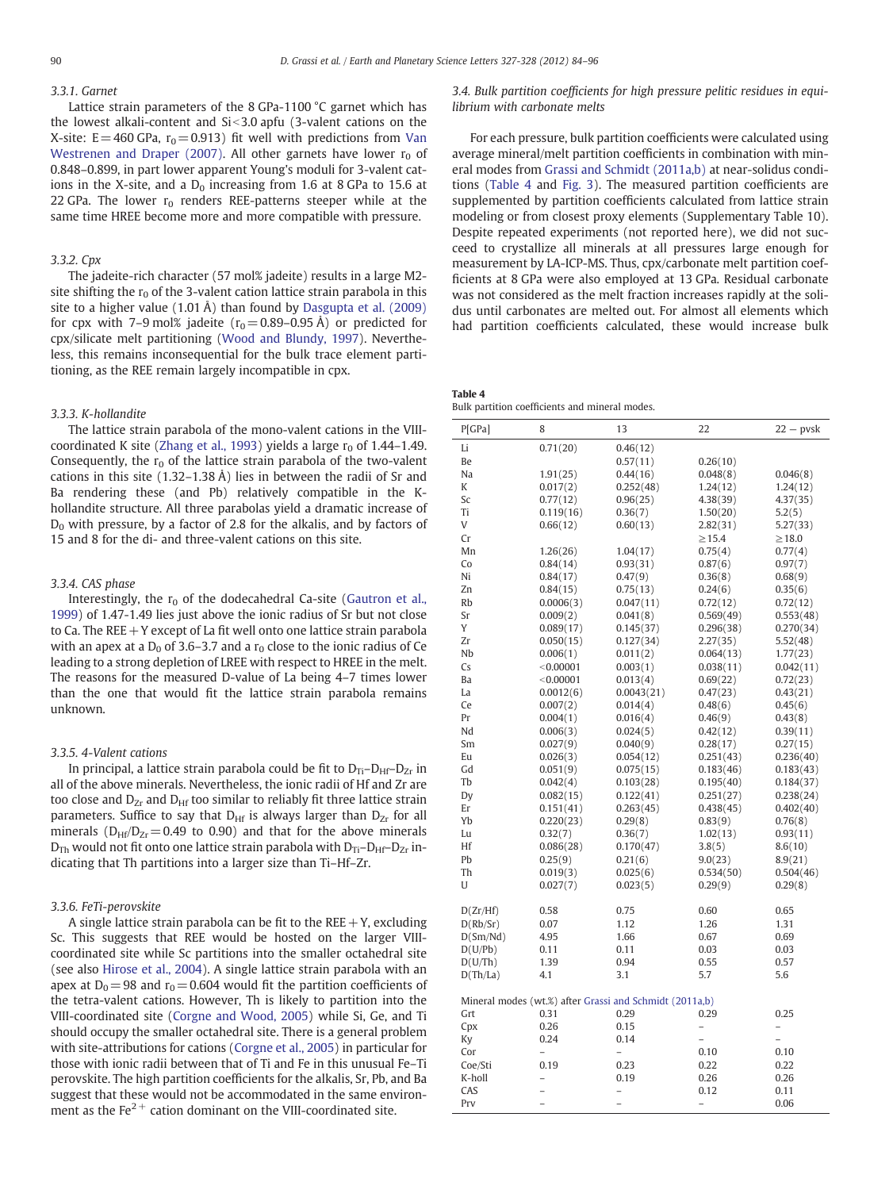## <span id="page-6-0"></span>3.3.1. Garnet

Lattice strain parameters of the 8 GPa-1100 °C garnet which has the lowest alkali-content and  $Si < 3.0$  apfu (3-valent cations on the X-site:  $E = 460$  GPa,  $r_0 = 0.913$ ) fit well with predictions from [Van](#page-12-0) [Westrenen and Draper \(2007\).](#page-12-0) All other garnets have lower  $r_0$  of 0.848–0.899, in part lower apparent Young's moduli for 3-valent cations in the X-site, and a  $D_0$  increasing from 1.6 at 8 GPa to 15.6 at 22 GPa. The lower  $r_0$  renders REE-patterns steeper while at the same time HREE become more and more compatible with pressure.

#### 3.3.2. Cpx

The jadeite-rich character (57 mol% jadeite) results in a large M2 site shifting the  $r_0$  of the 3-valent cation lattice strain parabola in this site to a higher value (1.01 Å) than found by [Dasgupta et al. \(2009\)](#page-11-0) for cpx with 7–9 mol% jadeite ( $r_0$  = 0.89–0.95 Å) or predicted for cpx/silicate melt partitioning [\(Wood and Blundy, 1997](#page-12-0)). Nevertheless, this remains inconsequential for the bulk trace element partitioning, as the REE remain largely incompatible in cpx.

### 3.3.3. K-hollandite

The lattice strain parabola of the mono-valent cations in the VIII-coordinated K site [\(Zhang et al., 1993\)](#page-12-0) yields a large  $r_0$  of 1.44–1.49. Consequently, the  $r_0$  of the lattice strain parabola of the two-valent cations in this site (1.32–1.38 Å) lies in between the radii of Sr and Ba rendering these (and Pb) relatively compatible in the Khollandite structure. All three parabolas yield a dramatic increase of  $D_0$  with pressure, by a factor of 2.8 for the alkalis, and by factors of 15 and 8 for the di- and three-valent cations on this site.

### 3.3.4. CAS phase

Interestingly, the  $r_0$  of the dodecahedral Ca-site [\(Gautron et al.,](#page-11-0) [1999\)](#page-11-0) of 1.47-1.49 lies just above the ionic radius of Sr but not close to Ca. The REE  $+Y$  except of La fit well onto one lattice strain parabola with an apex at a  $D_0$  of 3.6–3.7 and a  $r_0$  close to the ionic radius of Ce leading to a strong depletion of LREE with respect to HREE in the melt. The reasons for the measured D-value of La being 4–7 times lower than the one that would fit the lattice strain parabola remains unknown.

### 3.3.5. 4-Valent cations

In principal, a lattice strain parabola could be fit to  $D_{Ti}-D_{Hf}-D_{Zr}$  in all of the above minerals. Nevertheless, the ionic radii of Hf and Zr are too close and  $D_{Zr}$  and  $D_{Hf}$  too similar to reliably fit three lattice strain parameters. Suffice to say that  $D_{Hf}$  is always larger than  $D_{Zr}$  for all minerals ( $D_{Hf}/D_{Zr}$  = 0.49 to 0.90) and that for the above minerals  $D_{\text{Th}}$  would not fit onto one lattice strain parabola with  $D_{\text{Ti}}-D_{\text{HF}}-D_{\text{Zr}}$  indicating that Th partitions into a larger size than Ti–Hf–Zr.

### 3.3.6. FeTi-perovskite

A single lattice strain parabola can be fit to the  $REE + Y$ , excluding Sc. This suggests that REE would be hosted on the larger VIIIcoordinated site while Sc partitions into the smaller octahedral site (see also [Hirose et al., 2004\)](#page-11-0). A single lattice strain parabola with an apex at  $D_0 = 98$  and  $r_0 = 0.604$  would fit the partition coefficients of the tetra-valent cations. However, Th is likely to partition into the VIII-coordinated site [\(Corgne and Wood, 2005\)](#page-11-0) while Si, Ge, and Ti should occupy the smaller octahedral site. There is a general problem with site-attributions for cations [\(Corgne et al., 2005\)](#page-11-0) in particular for those with ionic radii between that of Ti and Fe in this unusual Fe–Ti perovskite. The high partition coefficients for the alkalis, Sr, Pb, and Ba suggest that these would not be accommodated in the same environment as the  $Fe<sup>2+</sup>$  cation dominant on the VIII-coordinated site.

3.4. Bulk partition coefficients for high pressure pelitic residues in equilibrium with carbonate melts

For each pressure, bulk partition coefficients were calculated using average mineral/melt partition coefficients in combination with mineral modes from [Grassi and Schmidt \(2011a,b\)](#page-11-0) at near-solidus conditions (Table 4 and [Fig. 3\)](#page-7-0). The measured partition coefficients are supplemented by partition coefficients calculated from lattice strain modeling or from closest proxy elements (Supplementary Table 10). Despite repeated experiments (not reported here), we did not succeed to crystallize all minerals at all pressures large enough for measurement by LA-ICP-MS. Thus, cpx/carbonate melt partition coefficients at 8 GPa were also employed at 13 GPa. Residual carbonate was not considered as the melt fraction increases rapidly at the solidus until carbonates are melted out. For almost all elements which had partition coefficients calculated, these would increase bulk

| Table 4 |                                                |  |  |
|---------|------------------------------------------------|--|--|
|         | Bulk partition coefficients and mineral modes. |  |  |

| P[GPa]   | 8                        | 13                                                      | 22                       | $22 - pvsk$       |
|----------|--------------------------|---------------------------------------------------------|--------------------------|-------------------|
| Li       | 0.71(20)                 | 0.46(12)                                                |                          |                   |
| Вe       |                          | 0.57(11)                                                | 0.26(10)                 |                   |
| Na       | 1.91(25)                 | 0.44(16)                                                | 0.048(8)                 | 0.046(8)          |
| K        | 0.017(2)                 | 0.252(48)                                               | 1.24(12)                 | 1.24(12)          |
| Sc       | 0.77(12)                 | 0.96(25)                                                | 4.38(39)                 | 4.37(35)          |
| Ti       | 0.119(16)                | 0.36(7)                                                 | 1.50(20)                 | 5.2(5)            |
| V        | 0.66(12)                 | 0.60(13)                                                | 2.82(31)                 | 5.27(33)          |
| Cr       |                          |                                                         | $\geq$ 15.4              | $\geq 18.0$       |
| Mn       | 1.26(26)                 | 1.04(17)                                                | 0.75(4)                  | 0.77(4)           |
| Co       | 0.84(14)                 | 0.93(31)                                                | 0.87(6)                  | 0.97(7)           |
| Ni       | 0.84(17)                 | 0.47(9)                                                 | 0.36(8)                  | 0.68(9)           |
| Zn       | 0.84(15)                 | 0.75(13)                                                | 0.24(6)                  | 0.35(6)           |
| Rb       | 0.0006(3)                | 0.047(11)                                               | 0.72(12)                 | 0.72(12)          |
| Sr       | 0.009(2)                 | 0.041(8)                                                | 0.569(49)                | 0.553(48)         |
| Y        | 0.089(17)                | 0.145(37)                                               | 0.296(38)                | 0.270(34)         |
| Zr       | 0.050(15)                | 0.127(34)                                               | 2.27(35)                 | 5.52(48)          |
| Nb       | 0.006(1)                 | 0.011(2)                                                | 0.064(13)                | 1.77(23)          |
| Cs       | < 0.00001                | 0.003(1)                                                | 0.038(11)                | 0.042(11)         |
| Ba       | < 0.00001                | 0.013(4)                                                | 0.69(22)                 | 0.72(23)          |
| La       | 0.0012(6)                | 0.0043(21)                                              | 0.47(23)                 | 0.43(21)          |
| Ce       | 0.007(2)                 | 0.014(4)                                                | 0.48(6)                  | 0.45(6)           |
| Pr       | 0.004(1)                 | 0.016(4)                                                | 0.46(9)                  | 0.43(8)           |
| Nd       | 0.006(3)                 | 0.024(5)                                                | 0.42(12)                 | 0.39(11)          |
| Sm       | 0.027(9)                 | 0.040(9)                                                | 0.28(17)                 | 0.27(15)          |
| Eu       | 0.026(3)                 | 0.054(12)                                               | 0.251(43)                | 0.236(40)         |
| Gd       | 0.051(9)                 | 0.075(15)                                               | 0.183(46)                | 0.183(43)         |
| Tb       | 0.042(4)                 | 0.103(28)                                               | 0.195(40)                | 0.184(37)         |
| Dy       | 0.082(15)                | 0.122(41)                                               | 0.251(27)                | 0.238(24)         |
| Er       | 0.151(41)                | 0.263(45)                                               | 0.438(45)                | 0.402(40)         |
| Yb       | 0.220(23)                | 0.29(8)                                                 | 0.83(9)                  | 0.76(8)           |
| Lu       | 0.32(7)                  | 0.36(7)                                                 | 1.02(13)                 | 0.93(11)          |
| Hf       | 0.086(28)                | 0.170(47)                                               | 3.8(5)                   | 8.6(10)           |
| Pb       | 0.25(9)                  | 0.21(6)                                                 | 9.0(23)                  | 8.9(21)           |
| Th       | 0.019(3)                 | 0.025(6)                                                | 0.534(50)                | 0.504(46)         |
| U        | 0.027(7)                 | 0.023(5)                                                | 0.29(9)                  | 0.29(8)           |
| D(Zr/Hf) | 0.58                     | 0.75                                                    | 0.60                     | 0.65              |
| D(Rb/Sr) | 0.07                     | 1.12                                                    | 1.26                     | 1.31              |
| D(Sm/Nd) | 4.95                     | 1.66                                                    | 0.67                     | 0.69              |
| D(U/Pb)  | 0.11                     | 0.11                                                    | 0.03                     | 0.03              |
| D(U/Th)  | 1.39                     | 0.94                                                    | 0.55                     | 0.57              |
| D(Th/La) | 4.1                      | 3.1                                                     | 5.7                      | 5.6               |
|          |                          | Mineral modes (wt.%) after Grassi and Schmidt (2011a,b) |                          |                   |
| Grt      | 0.31                     | 0.29                                                    | 0.29                     | 0.25              |
| Cpx      | 0.26                     | 0.15                                                    | -                        | -                 |
| Ky       | 0.24                     | 0.14                                                    | $\overline{\phantom{0}}$ | $\qquad \qquad -$ |
| Cor      | $\overline{a}$           | $\overline{\phantom{0}}$                                | 0.10                     | 0.10              |
| Coe/Sti  | 0.19                     | 0.23                                                    | 0.22                     | 0.22              |
| K-holl   | -                        | 0.19                                                    | 0.26                     | 0.26              |
| CAS      | $\overline{a}$           | $\qquad \qquad -$                                       | 0.12                     | 0.11              |
| Prv      | $\overline{\phantom{0}}$ | $\overline{\phantom{0}}$                                | $\overline{\phantom{0}}$ | 0.06              |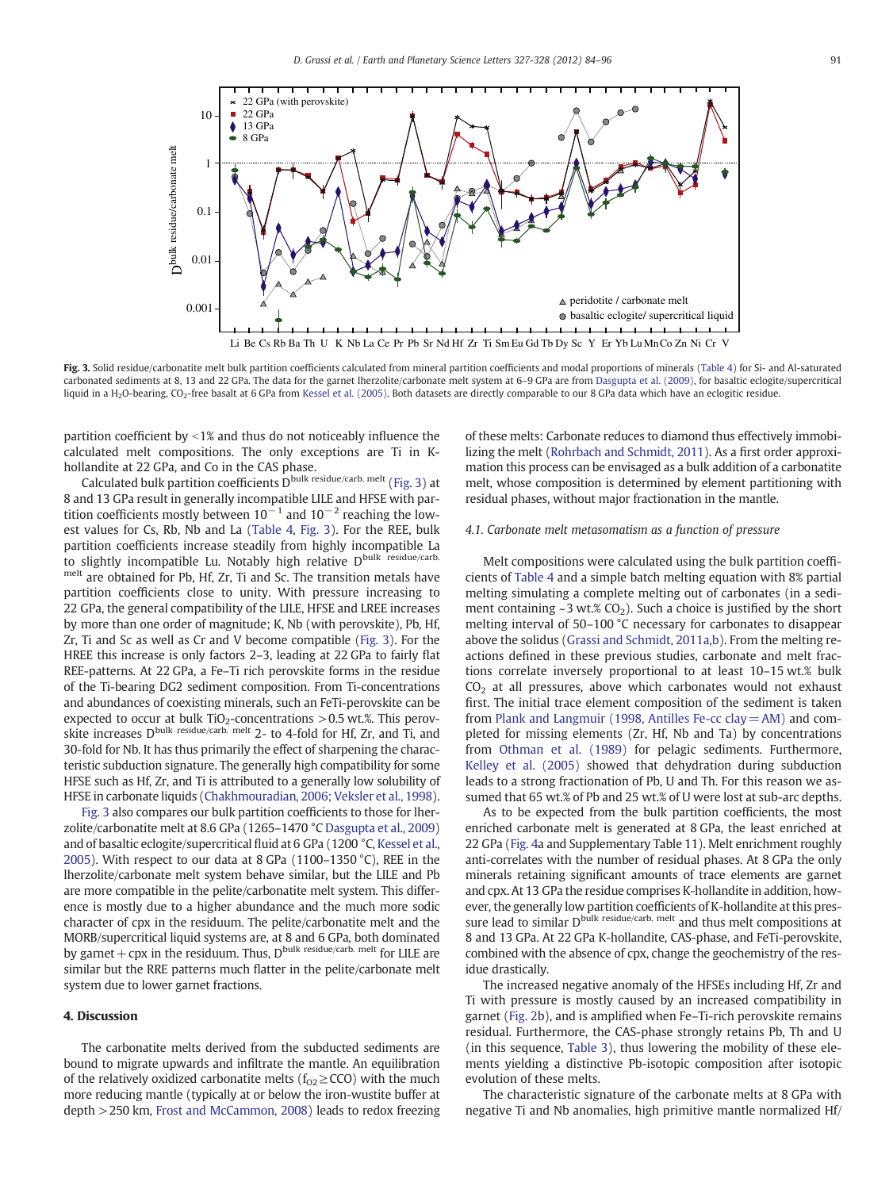<span id="page-7-0"></span>

Fig. 3. Solid residue/carbonatite melt bulk partition coefficients calculated from mineral partition coefficients and modal proportions of minerals ([Table 4\)](#page-6-0) for Si- and Al-saturated carbonated sediments at 8, 13 and 22 GPa. The data for the garnet lherzolite/carbonate melt system at 6–9 GPa are from [Dasgupta et al. \(2009\),](#page-11-0) for basaltic eclogite/supercritical liquid in a H<sub>2</sub>O-bearing, CO<sub>2</sub>-free basalt at 6 GPa from [Kessel et al. \(2005\)](#page-11-0). Both datasets are directly comparable to our 8 GPa data which have an eclogitic residue.

partition coefficient by  $\leq$ 1% and thus do not noticeably influence the calculated melt compositions. The only exceptions are Ti in Khollandite at 22 GPa, and Co in the CAS phase.

Calculated bulk partition coefficients  $\overline{D}^{\text{bulk residue/carb. melt}}$  (Fig. 3) at 8 and 13 GPa result in generally incompatible LILE and HFSE with partition coefficients mostly between  $10^{-1}$  and  $10^{-2}$  reaching the lowest values for Cs, Rb, Nb and La [\(Table 4](#page-6-0), Fig. 3). For the REE, bulk partition coefficients increase steadily from highly incompatible La to slightly incompatible Lu. Notably high relative Dbulk residue/carb. melt are obtained for Pb, Hf, Zr, Ti and Sc. The transition metals have partition coefficients close to unity. With pressure increasing to 22 GPa, the general compatibility of the LILE, HFSE and LREE increases by more than one order of magnitude; K, Nb (with perovskite), Pb, Hf, Zr, Ti and Sc as well as Cr and V become compatible (Fig. 3). For the HREE this increase is only factors 2–3, leading at 22 GPa to fairly flat REE-patterns. At 22 GPa, a Fe–Ti rich perovskite forms in the residue of the Ti-bearing DG2 sediment composition. From Ti-concentrations and abundances of coexisting minerals, such an FeTi-perovskite can be expected to occur at bulk TiO<sub>2</sub>-concentrations  $>0.5$  wt.%. This perovskite increases D<sup>bulk residue/carb. melt</sup> 2- to 4-fold for Hf, Zr, and Ti, and 30-fold for Nb. It has thus primarily the effect of sharpening the characteristic subduction signature. The generally high compatibility for some HFSE such as Hf, Zr, and Ti is attributed to a generally low solubility of HFSE in carbonate liquids [\(Chakhmouradian, 2006; Veksler et al., 1998](#page-11-0)).

Fig. 3 also compares our bulk partition coefficients to those for lherzolite/carbonatite melt at 8.6 GPa (1265–1470 °C [Dasgupta et al., 2009](#page-11-0)) and of basaltic eclogite/supercritical fluid at 6 GPa (1200 °C, [Kessel et al.,](#page-11-0) [2005](#page-11-0)). With respect to our data at 8 GPa (1100–1350 °C), REE in the lherzolite/carbonate melt system behave similar, but the LILE and Pb are more compatible in the pelite/carbonatite melt system. This difference is mostly due to a higher abundance and the much more sodic character of cpx in the residuum. The pelite/carbonatite melt and the MORB/supercritical liquid systems are, at 8 and 6 GPa, both dominated by garnet + cpx in the residuum. Thus,  $D^{\text{bulk residue/carb. melt}}$  for LILE are similar but the RRE patterns much flatter in the pelite/carbonate melt system due to lower garnet fractions.

### 4. Discussion

The carbonatite melts derived from the subducted sediments are bound to migrate upwards and infiltrate the mantle. An equilibration of the relatively oxidized carbonatite melts ( $f_{O2} \geq CCO$ ) with the much more reducing mantle (typically at or below the iron-wustite buffer at depth >250 km, [Frost and McCammon, 2008](#page-11-0)) leads to redox freezing of these melts: Carbonate reduces to diamond thus effectively immobilizing the melt [\(Rohrbach and Schmidt, 2011\)](#page-11-0). As a first order approximation this process can be envisaged as a bulk addition of a carbonatite melt, whose composition is determined by element partitioning with residual phases, without major fractionation in the mantle.

### 4.1. Carbonate melt metasomatism as a function of pressure

Melt compositions were calculated using the bulk partition coefficients of [Table 4](#page-6-0) and a simple batch melting equation with 8% partial melting simulating a complete melting out of carbonates (in a sediment containing  $\sim$  3 wt.% CO<sub>2</sub>). Such a choice is justified by the short melting interval of 50–100 °C necessary for carbonates to disappear above the solidus [\(Grassi and Schmidt, 2011a,b\)](#page-11-0). From the melting reactions defined in these previous studies, carbonate and melt fractions correlate inversely proportional to at least 10–15 wt.% bulk  $CO<sub>2</sub>$  at all pressures, above which carbonates would not exhaust first. The initial trace element composition of the sediment is taken from Plank and Langmuir (1998, Antilles Fe-cc clay  $=$  AM) and completed for missing elements (Zr, Hf, Nb and Ta) by concentrations from [Othman et al. \(1989\)](#page-11-0) for pelagic sediments. Furthermore, [Kelley et al. \(2005\)](#page-11-0) showed that dehydration during subduction leads to a strong fractionation of Pb, U and Th. For this reason we assumed that 65 wt.% of Pb and 25 wt.% of U were lost at sub-arc depths.

As to be expected from the bulk partition coefficients, the most enriched carbonate melt is generated at 8 GPa, the least enriched at 22 GPa [\(Fig. 4a](#page-8-0) and Supplementary Table 11). Melt enrichment roughly anti-correlates with the number of residual phases. At 8 GPa the only minerals retaining significant amounts of trace elements are garnet and cpx. At 13 GPa the residue comprises K-hollandite in addition, however, the generally low partition coefficients of K-hollandite at this pressure lead to similar D<sup>bulk residue/carb. melt</sup> and thus melt compositions at 8 and 13 GPa. At 22 GPa K-hollandite, CAS-phase, and FeTi-perovskite, combined with the absence of cpx, change the geochemistry of the residue drastically.

The increased negative anomaly of the HFSEs including Hf, Zr and Ti with pressure is mostly caused by an increased compatibility in garnet ([Fig. 2b](#page-4-0)), and is amplified when Fe–Ti-rich perovskite remains residual. Furthermore, the CAS-phase strongly retains Pb, Th and U (in this sequence, [Table 3\)](#page-5-0), thus lowering the mobility of these elements yielding a distinctive Pb-isotopic composition after isotopic evolution of these melts.

The characteristic signature of the carbonate melts at 8 GPa with negative Ti and Nb anomalies, high primitive mantle normalized Hf/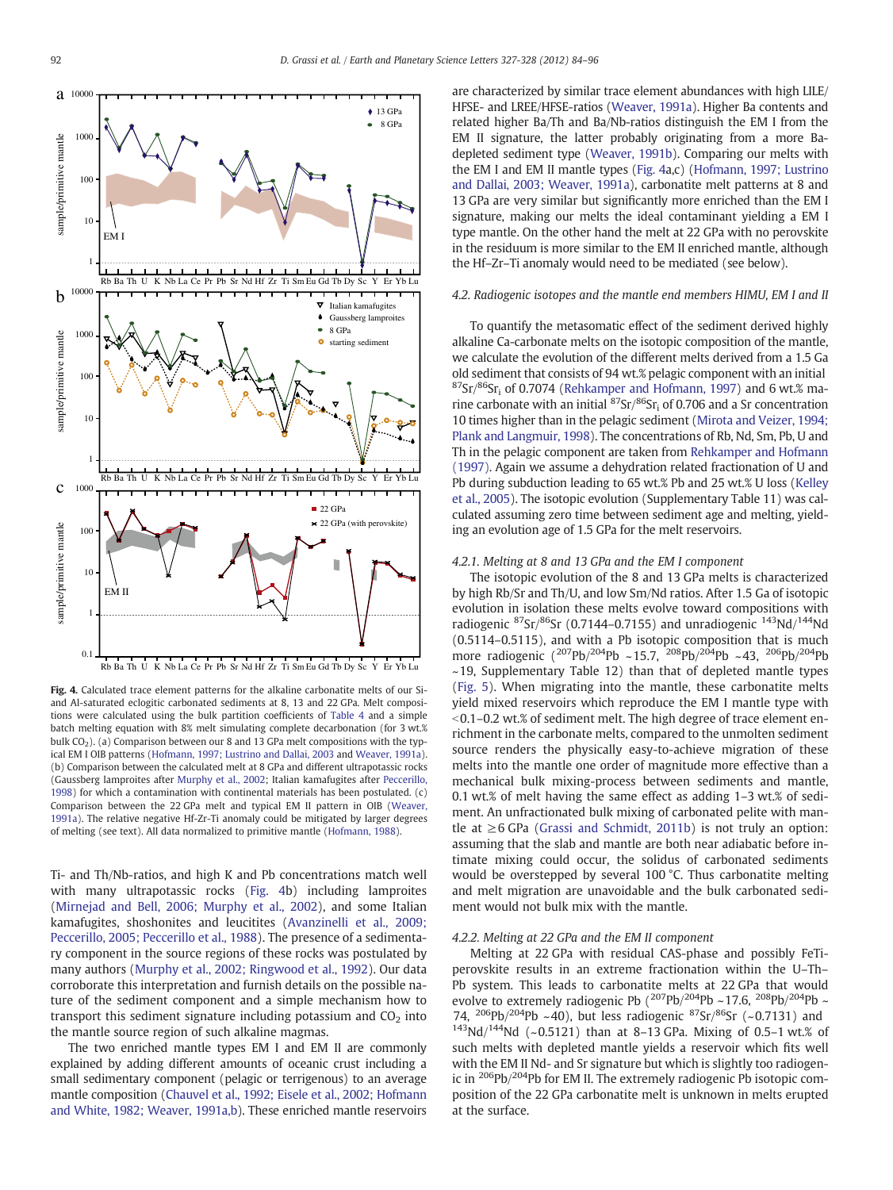<span id="page-8-0"></span>

Fig. 4. Calculated trace element patterns for the alkaline carbonatite melts of our Siand Al-saturated eclogitic carbonated sediments at 8, 13 and 22 GPa. Melt compositions were calculated using the bulk partition coefficients of [Table 4](#page-6-0) and a simple batch melting equation with 8% melt simulating complete decarbonation (for 3 wt.% bulk CO<sub>2</sub>). (a) Comparison between our 8 and 13 GPa melt compositions with the typical EM I OIB patterns [\(Hofmann, 1997; Lustrino and Dallai, 2003](#page-11-0) and [Weaver, 1991a](#page-12-0)). (b) Comparison between the calculated melt at 8 GPa and different ultrapotassic rocks (Gaussberg lamproites after [Murphy et al., 2002](#page-11-0); Italian kamafugites after [Peccerillo,](#page-11-0) [1998](#page-11-0)) for which a contamination with continental materials has been postulated. (c) Comparison between the 22 GPa melt and typical EM II pattern in OIB [\(Weaver,](#page-12-0) [1991a\)](#page-12-0). The relative negative Hf-Zr-Ti anomaly could be mitigated by larger degrees of melting (see text). All data normalized to primitive mantle ([Hofmann, 1988](#page-11-0)).

Ti- and Th/Nb-ratios, and high K and Pb concentrations match well with many ultrapotassic rocks (Fig. 4b) including lamproites [\(Mirnejad and Bell, 2006; Murphy et al., 2002\)](#page-11-0), and some Italian kamafugites, shoshonites and leucitites ([Avanzinelli et al., 2009;](#page-11-0) [Peccerillo, 2005; Peccerillo et al., 1988\)](#page-11-0). The presence of a sedimentary component in the source regions of these rocks was postulated by many authors [\(Murphy et al., 2002; Ringwood et al., 1992\)](#page-11-0). Our data corroborate this interpretation and furnish details on the possible nature of the sediment component and a simple mechanism how to transport this sediment signature including potassium and  $CO<sub>2</sub>$  into the mantle source region of such alkaline magmas.

The two enriched mantle types EM I and EM II are commonly explained by adding different amounts of oceanic crust including a small sedimentary component (pelagic or terrigenous) to an average mantle composition ([Chauvel et al., 1992; Eisele et al., 2002; Hofmann](#page-11-0) [and White, 1982; Weaver, 1991a,b](#page-11-0)). These enriched mantle reservoirs are characterized by similar trace element abundances with high LILE/ HFSE- and LREE/HFSE-ratios [\(Weaver, 1991a\)](#page-12-0). Higher Ba contents and related higher Ba/Th and Ba/Nb-ratios distinguish the EM I from the EM II signature, the latter probably originating from a more Badepleted sediment type ([Weaver, 1991b](#page-12-0)). Comparing our melts with the EM I and EM II mantle types (Fig. 4a,c) [\(Hofmann, 1997; Lustrino](#page-11-0) [and Dallai, 2003; Weaver, 1991a\)](#page-11-0), carbonatite melt patterns at 8 and 13 GPa are very similar but significantly more enriched than the EM I signature, making our melts the ideal contaminant yielding a EM I type mantle. On the other hand the melt at 22 GPa with no perovskite in the residuum is more similar to the EM II enriched mantle, although the Hf–Zr–Ti anomaly would need to be mediated (see below).

### 4.2. Radiogenic isotopes and the mantle end members HIMU, EM I and II

To quantify the metasomatic effect of the sediment derived highly alkaline Ca-carbonate melts on the isotopic composition of the mantle, we calculate the evolution of the different melts derived from a 1.5 Ga old sediment that consists of 94 wt.% pelagic component with an initial  $87$ Sr/ $86$ Sr<sub>i</sub> of 0.7074 [\(Rehkamper and Hofmann, 1997](#page-11-0)) and 6 wt.% marine carbonate with an initial  ${}^{87}Sr/{}^{86}Sr$ <sub>i</sub> of 0.706 and a Sr concentration 10 times higher than in the pelagic sediment [\(Mirota and Veizer, 1994;](#page-11-0) [Plank and Langmuir, 1998](#page-11-0)). The concentrations of Rb, Nd, Sm, Pb, U and Th in the pelagic component are taken from [Rehkamper and Hofmann](#page-11-0) [\(1997\)](#page-11-0). Again we assume a dehydration related fractionation of U and Pb during subduction leading to 65 wt.% Pb and 25 wt.% U loss ([Kelley](#page-11-0) [et al., 2005](#page-11-0)). The isotopic evolution (Supplementary Table 11) was calculated assuming zero time between sediment age and melting, yielding an evolution age of 1.5 GPa for the melt reservoirs.

### 4.2.1. Melting at 8 and 13 GPa and the EM I component

The isotopic evolution of the 8 and 13 GPa melts is characterized by high Rb/Sr and Th/U, and low Sm/Nd ratios. After 1.5 Ga of isotopic evolution in isolation these melts evolve toward compositions with radiogenic  ${}^{87}Sr/{}^{86}Sr$  (0.7144–0.7155) and unradiogenic  ${}^{143}Nd/{}^{144}Nd$ (0.5114–0.5115), and with a Pb isotopic composition that is much more radiogenic  $(^{207}Pb/^{204}Pb \sim 15.7$ ,  $^{208}Pb/^{204}Pb \sim 43$ ,  $^{206}Pb/^{204}Pb$  $~19$ , Supplementary Table 12) than that of depleted mantle types [\(Fig. 5\)](#page-9-0). When migrating into the mantle, these carbonatite melts yield mixed reservoirs which reproduce the EM I mantle type with  $<$ 0.1–0.2 wt.% of sediment melt. The high degree of trace element enrichment in the carbonate melts, compared to the unmolten sediment source renders the physically easy-to-achieve migration of these melts into the mantle one order of magnitude more effective than a mechanical bulk mixing-process between sediments and mantle, 0.1 wt.% of melt having the same effect as adding 1–3 wt.% of sediment. An unfractionated bulk mixing of carbonated pelite with mantle at ≥6 GPa ([Grassi and Schmidt, 2011b\)](#page-11-0) is not truly an option: assuming that the slab and mantle are both near adiabatic before intimate mixing could occur, the solidus of carbonated sediments would be overstepped by several 100 °C. Thus carbonatite melting and melt migration are unavoidable and the bulk carbonated sediment would not bulk mix with the mantle.

#### 4.2.2. Melting at 22 GPa and the EM II component

Melting at 22 GPa with residual CAS-phase and possibly FeTiperovskite results in an extreme fractionation within the U–Th– Pb system. This leads to carbonatite melts at 22 GPa that would evolve to extremely radiogenic Pb  $(^{207}Pb/^{204}Pb \sim 17.6$ ,  $^{208}Pb/^{204}Pb \sim$ 74,  $^{206}Pb/^{204}Pb \sim 40$ ), but less radiogenic  $^{87}Sr/^{86}Sr$  (~0.7131) and  $143Nd/144Nd$  (~0.5121) than at 8-13 GPa. Mixing of 0.5-1 wt.% of such melts with depleted mantle yields a reservoir which fits well with the EM II Nd- and Sr signature but which is slightly too radiogenic in  $206Pb/204Pb$  for EM II. The extremely radiogenic Pb isotopic composition of the 22 GPa carbonatite melt is unknown in melts erupted at the surface.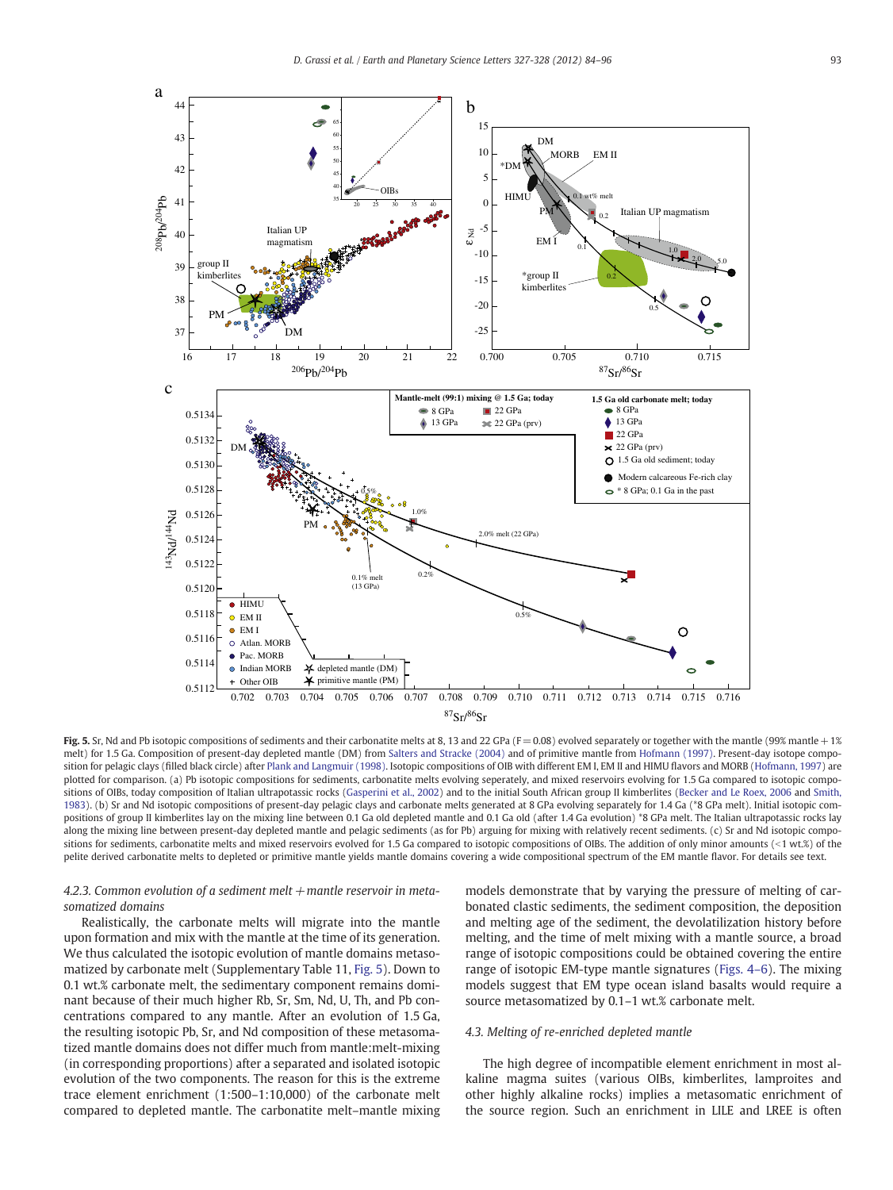<span id="page-9-0"></span>

Fig. 5. Sr, Nd and Pb isotopic compositions of sediments and their carbonatite melts at 8, 13 and 22 GPa (F = 0.08) evolved separately or together with the mantle (99% mantle + 1%) melt) for 1.5 Ga. Composition of present-day depleted mantle (DM) from [Salters and Stracke \(2004\)](#page-12-0) and of primitive mantle from [Hofmann \(1997\).](#page-11-0) Present-day isotope composition for pelagic clays (filled black circle) after [Plank and Langmuir \(1998\)](#page-11-0). Isotopic compositions of OIB with different EM I, EM II and HIMU flavors and MORB ([Hofmann, 1997](#page-11-0)) are plotted for comparison. (a) Pb isotopic compositions for sediments, carbonatite melts evolving seperately, and mixed reservoirs evolving for 1.5 Ga compared to isotopic compo-sitions of OIBs, today composition of Italian ultrapotassic rocks [\(Gasperini et al., 2002](#page-11-0)) and to the initial South African group II kimberlites [\(Becker and Le Roex, 2006](#page-11-0) and [Smith,](#page-12-0) [1983](#page-12-0)). (b) Sr and Nd isotopic compositions of present-day pelagic clays and carbonate melts generated at 8 GPa evolving separately for 1.4 Ga (\*8 GPa melt). Initial isotopic compositions of group II kimberlites lay on the mixing line between 0.1 Ga old depleted mantle and 0.1 Ga old (after 1.4 Ga evolution) \*8 GPa melt. The Italian ultrapotassic rocks lay along the mixing line between present-day depleted mantle and pelagic sediments (as for Pb) arguing for mixing with relatively recent sediments. (c) Sr and Nd isotopic compositions for sediments, carbonatite melts and mixed reservoirs evolved for 1.5 Ga compared to isotopic compositions of OIBs. The addition of only minor amounts (<1 wt.%) of the pelite derived carbonatite melts to depleted or primitive mantle yields mantle domains covering a wide compositional spectrum of the EM mantle flavor. For details see text.

### 4.2.3. Common evolution of a sediment melt  $+$  mantle reservoir in metasomatized domains

Realistically, the carbonate melts will migrate into the mantle upon formation and mix with the mantle at the time of its generation. We thus calculated the isotopic evolution of mantle domains metasomatized by carbonate melt (Supplementary Table 11, Fig. 5). Down to 0.1 wt.% carbonate melt, the sedimentary component remains dominant because of their much higher Rb, Sr, Sm, Nd, U, Th, and Pb concentrations compared to any mantle. After an evolution of 1.5 Ga, the resulting isotopic Pb, Sr, and Nd composition of these metasomatized mantle domains does not differ much from mantle:melt-mixing (in corresponding proportions) after a separated and isolated isotopic evolution of the two components. The reason for this is the extreme trace element enrichment (1:500–1:10,000) of the carbonate melt compared to depleted mantle. The carbonatite melt–mantle mixing models demonstrate that by varying the pressure of melting of carbonated clastic sediments, the sediment composition, the deposition and melting age of the sediment, the devolatilization history before melting, and the time of melt mixing with a mantle source, a broad range of isotopic compositions could be obtained covering the entire range of isotopic EM-type mantle signatures [\(Figs. 4](#page-8-0)–6). The mixing models suggest that EM type ocean island basalts would require a source metasomatized by 0.1–1 wt.% carbonate melt.

### 4.3. Melting of re-enriched depleted mantle

The high degree of incompatible element enrichment in most alkaline magma suites (various OIBs, kimberlites, lamproites and other highly alkaline rocks) implies a metasomatic enrichment of the source region. Such an enrichment in LILE and LREE is often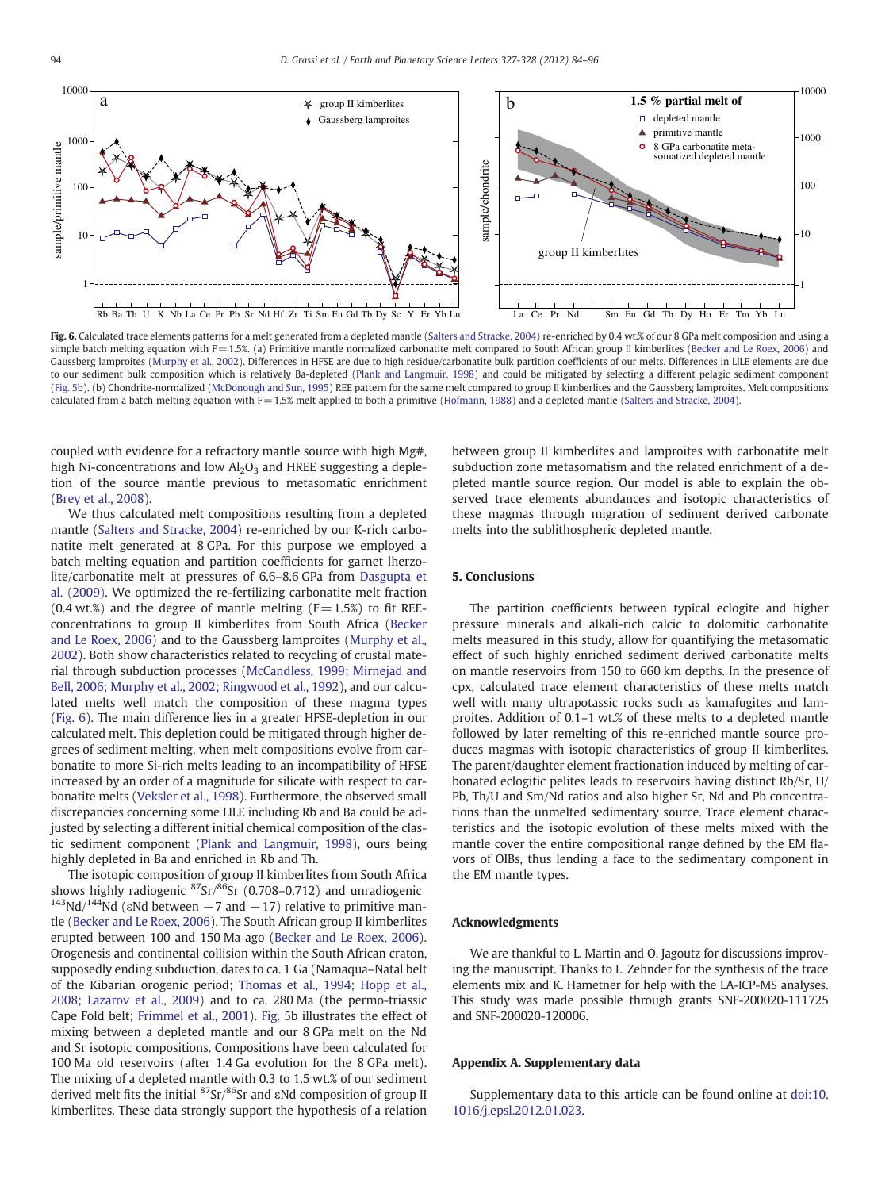

Fig. 6. Calculated trace elements patterns for a melt generated from a depleted mantle ([Salters and Stracke, 2004\)](#page-12-0) re-enriched by 0.4 wt.% of our 8 GPa melt composition and using a simple batch melting equation with F= 1.5%. (a) Primitive mantle normalized carbonatite melt compared to South African group II kimberlites [\(Becker and Le Roex, 2006\)](#page-11-0) and Gaussberg lamproites ([Murphy et al., 2002](#page-11-0)). Differences in HFSE are due to high residue/carbonatite bulk partition coefficients of our melts. Differences in LILE elements are due to our sediment bulk composition which is relatively Ba-depleted ([Plank and Langmuir, 1998\)](#page-11-0) and could be mitigated by selecting a different pelagic sediment component ([Fig. 5b](#page-9-0)). (b) Chondrite-normalized [\(McDonough and Sun, 1995\)](#page-11-0) REE pattern for the same melt compared to group II kimberlites and the Gaussberg lamproites. Melt compositions calculated from a batch melting equation with F= 1.5% melt applied to both a primitive [\(Hofmann, 1988](#page-11-0)) and a depleted mantle ([Salters and Stracke, 2004](#page-12-0)).

coupled with evidence for a refractory mantle source with high Mg#, high Ni-concentrations and low  $Al_2O_3$  and HREE suggesting a depletion of the source mantle previous to metasomatic enrichment [\(Brey et al., 2008](#page-11-0)).

We thus calculated melt compositions resulting from a depleted mantle ([Salters and Stracke, 2004](#page-12-0)) re-enriched by our K-rich carbonatite melt generated at 8 GPa. For this purpose we employed a batch melting equation and partition coefficients for garnet lherzolite/carbonatite melt at pressures of 6.6–8.6 GPa from [Dasgupta et](#page-11-0) [al. \(2009\)](#page-11-0). We optimized the re-fertilizing carbonatite melt fraction  $(0.4 \text{ wt.})$  and the degree of mantle melting  $(F= 1.5%)$  to fit REEconcentrations to group II kimberlites from South Africa [\(Becker](#page-11-0) [and Le Roex, 2006](#page-11-0)) and to the Gaussberg lamproites [\(Murphy et al.,](#page-11-0) [2002\)](#page-11-0). Both show characteristics related to recycling of crustal material through subduction processes [\(McCandless, 1999; Mirnejad and](#page-11-0) [Bell, 2006; Murphy et al., 2002; Ringwood et al., 1992](#page-11-0)), and our calculated melts well match the composition of these magma types (Fig. 6). The main difference lies in a greater HFSE-depletion in our calculated melt. This depletion could be mitigated through higher degrees of sediment melting, when melt compositions evolve from carbonatite to more Si-rich melts leading to an incompatibility of HFSE increased by an order of a magnitude for silicate with respect to carbonatite melts [\(Veksler et al., 1998](#page-12-0)). Furthermore, the observed small discrepancies concerning some LILE including Rb and Ba could be adjusted by selecting a different initial chemical composition of the clastic sediment component [\(Plank and Langmuir, 1998](#page-11-0)), ours being highly depleted in Ba and enriched in Rb and Th.

The isotopic composition of group II kimberlites from South Africa shows highly radiogenic  ${}^{87}Sr/{}^{86}Sr$  (0.708–0.712) and unradiogenic  $143$ Nd/<sup>144</sup>Nd (εNd between  $-7$  and  $-17$ ) relative to primitive mantle ([Becker and Le Roex, 2006](#page-11-0)). The South African group II kimberlites erupted between 100 and 150 Ma ago [\(Becker and Le Roex, 2006](#page-11-0)). Orogenesis and continental collision within the South African craton, supposedly ending subduction, dates to ca. 1 Ga (Namaqua–Natal belt of the Kibarian orogenic period; [Thomas et al., 1994; Hopp et al.,](#page-12-0) [2008; Lazarov et al., 2009](#page-12-0)) and to ca. 280 Ma (the permo-triassic Cape Fold belt; [Frimmel et al., 2001](#page-11-0)). [Fig. 5](#page-9-0)b illustrates the effect of mixing between a depleted mantle and our 8 GPa melt on the Nd and Sr isotopic compositions. Compositions have been calculated for 100 Ma old reservoirs (after 1.4 Ga evolution for the 8 GPa melt). The mixing of a depleted mantle with 0.3 to 1.5 wt.% of our sediment derived melt fits the initial 87Sr/86Sr and εNd composition of group II kimberlites. These data strongly support the hypothesis of a relation between group II kimberlites and lamproites with carbonatite melt subduction zone metasomatism and the related enrichment of a depleted mantle source region. Our model is able to explain the observed trace elements abundances and isotopic characteristics of these magmas through migration of sediment derived carbonate melts into the sublithospheric depleted mantle.

### 5. Conclusions

The partition coefficients between typical eclogite and higher pressure minerals and alkali-rich calcic to dolomitic carbonatite melts measured in this study, allow for quantifying the metasomatic effect of such highly enriched sediment derived carbonatite melts on mantle reservoirs from 150 to 660 km depths. In the presence of cpx, calculated trace element characteristics of these melts match well with many ultrapotassic rocks such as kamafugites and lamproites. Addition of 0.1–1 wt.% of these melts to a depleted mantle followed by later remelting of this re-enriched mantle source produces magmas with isotopic characteristics of group II kimberlites. The parent/daughter element fractionation induced by melting of carbonated eclogitic pelites leads to reservoirs having distinct Rb/Sr, U/ Pb, Th/U and Sm/Nd ratios and also higher Sr, Nd and Pb concentrations than the unmelted sedimentary source. Trace element characteristics and the isotopic evolution of these melts mixed with the mantle cover the entire compositional range defined by the EM flavors of OIBs, thus lending a face to the sedimentary component in the EM mantle types.

#### Acknowledgments

We are thankful to L. Martin and O. Jagoutz for discussions improving the manuscript. Thanks to L. Zehnder for the synthesis of the trace elements mix and K. Hametner for help with the LA-ICP-MS analyses. This study was made possible through grants SNF-200020-111725 and SNF-200020-120006.

### Appendix A. Supplementary data

Supplementary data to this article can be found online at doi:10. 1016/j.epsl.2012.01.023.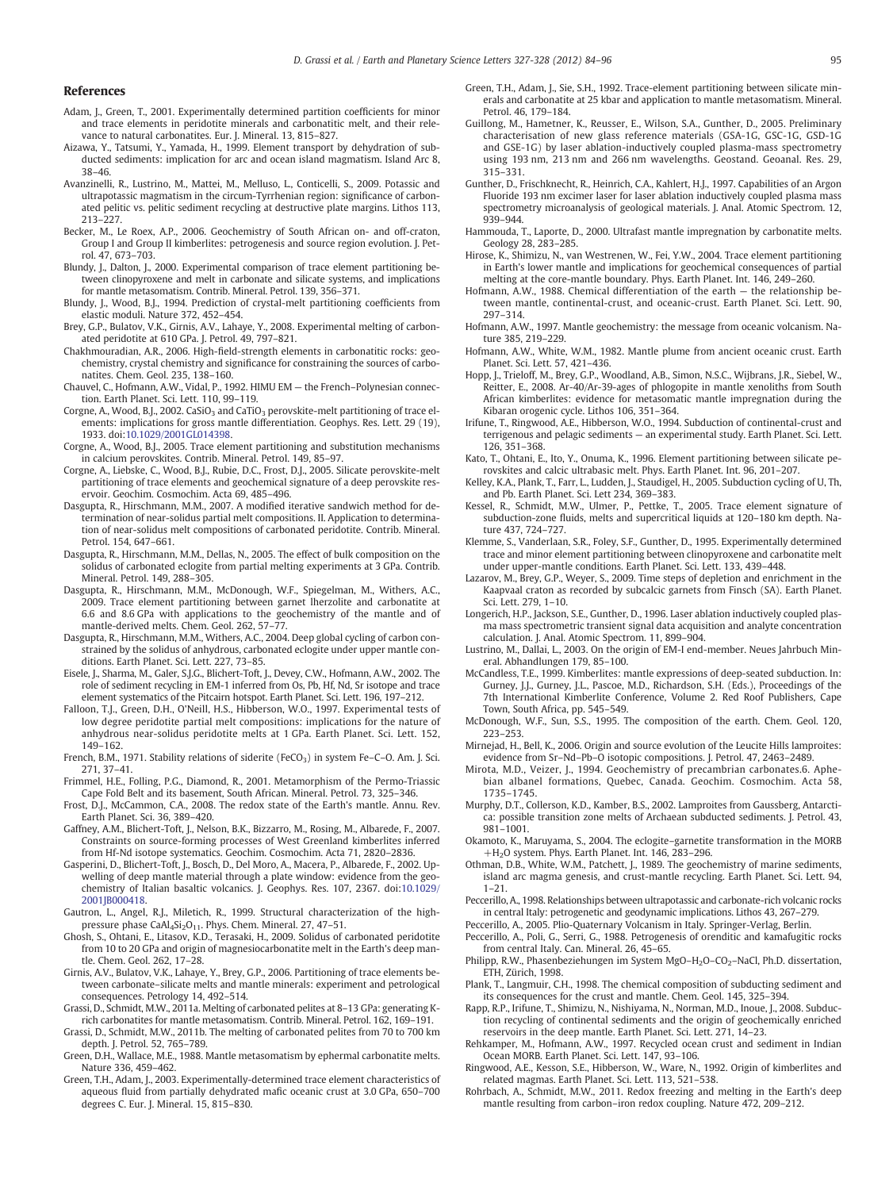### <span id="page-11-0"></span>References

- Adam, J., Green, T., 2001. Experimentally determined partition coefficients for minor and trace elements in peridotite minerals and carbonatitic melt, and their relevance to natural carbonatites. Eur. J. Mineral. 13, 815–827.
- Aizawa, Y., Tatsumi, Y., Yamada, H., 1999. Element transport by dehydration of subducted sediments: implication for arc and ocean island magmatism. Island Arc 8, 38–46.
- Avanzinelli, R., Lustrino, M., Mattei, M., Melluso, L., Conticelli, S., 2009. Potassic and ultrapotassic magmatism in the circum-Tyrrhenian region: significance of carbonated pelitic vs. pelitic sediment recycling at destructive plate margins. Lithos 113, 213–227.
- Becker, M., Le Roex, A.P., 2006. Geochemistry of South African on- and off-craton, Group I and Group II kimberlites: petrogenesis and source region evolution. J. Petrol. 47, 673–703.
- Blundy, J., Dalton, J., 2000. Experimental comparison of trace element partitioning between clinopyroxene and melt in carbonate and silicate systems, and implications for mantle metasomatism. Contrib. Mineral. Petrol. 139, 356–371.
- Blundy, J., Wood, B.J., 1994. Prediction of crystal-melt partitioning coefficients from elastic moduli. Nature 372, 452–454.
- Brey, G.P., Bulatov, V.K., Girnis, A.V., Lahaye, Y., 2008. Experimental melting of carbonated peridotite at 610 GPa. J. Petrol. 49, 797–821.
- Chakhmouradian, A.R., 2006. High-field-strength elements in carbonatitic rocks: geochemistry, crystal chemistry and significance for constraining the sources of carbonatites. Chem. Geol. 235, 138–160.
- Chauvel, C., Hofmann, A.W., Vidal, P., 1992. HIMU EM the French–Polynesian connection. Earth Planet. Sci. Lett. 110, 99–119.
- Corgne, A., Wood, B.J., 2002. CaSiO<sub>3</sub> and CaTiO<sub>3</sub> perovskite-melt partitioning of trace elements: implications for gross mantle differentiation. Geophys. Res. Lett. 29 (19), 1933. doi:[10.1029/2001GL014398.](http://dx.doi.org/10.1029/2001GL014398)
- Corgne, A., Wood, B.J., 2005. Trace element partitioning and substitution mechanisms in calcium perovskites. Contrib. Mineral. Petrol. 149, 85–97.
- Corgne, A., Liebske, C., Wood, B.J., Rubie, D.C., Frost, D.J., 2005. Silicate perovskite-melt partitioning of trace elements and geochemical signature of a deep perovskite reservoir. Geochim. Cosmochim. Acta 69, 485–496.
- Dasgupta, R., Hirschmann, M.M., 2007. A modified iterative sandwich method for determination of near-solidus partial melt compositions. II. Application to determination of near-solidus melt compositions of carbonated peridotite. Contrib. Mineral. Petrol. 154, 647–661.
- Dasgupta, R., Hirschmann, M.M., Dellas, N., 2005. The effect of bulk composition on the solidus of carbonated eclogite from partial melting experiments at 3 GPa. Contrib. Mineral. Petrol. 149, 288–305.
- Dasgupta, R., Hirschmann, M.M., McDonough, W.F., Spiegelman, M., Withers, A.C., 2009. Trace element partitioning between garnet lherzolite and carbonatite at 6.6 and 8.6 GPa with applications to the geochemistry of the mantle and of mantle-derived melts. Chem. Geol. 262, 57–77.
- Dasgupta, R., Hirschmann, M.M., Withers, A.C., 2004. Deep global cycling of carbon constrained by the solidus of anhydrous, carbonated eclogite under upper mantle conditions. Earth Planet. Sci. Lett. 227, 73–85.
- Eisele, J., Sharma, M., Galer, S.J.G., Blichert-Toft, J., Devey, C.W., Hofmann, A.W., 2002. The role of sediment recycling in EM-1 inferred from Os, Pb, Hf, Nd, Sr isotope and trace element systematics of the Pitcairn hotspot. Earth Planet. Sci. Lett. 196, 197–212.
- Falloon, T.J., Green, D.H., O'Neill, H.S., Hibberson, W.O., 1997. Experimental tests of low degree peridotite partial melt compositions: implications for the nature of anhydrous near-solidus peridotite melts at 1 GPa. Earth Planet. Sci. Lett. 152, 149–162.
- French, B.M., 1971. Stability relations of siderite (FeCO<sub>3</sub>) in system Fe-C-O. Am. J. Sci. 271, 37–41.
- Frimmel, H.E., Folling, P.G., Diamond, R., 2001. Metamorphism of the Permo-Triassic Cape Fold Belt and its basement, South African. Mineral. Petrol. 73, 325–346.
- Frost, D.J., McCammon, C.A., 2008. The redox state of the Earth's mantle. Annu. Rev. Earth Planet. Sci. 36, 389–420.
- Gaffney, A.M., Blichert-Toft, J., Nelson, B.K., Bizzarro, M., Rosing, M., Albarede, F., 2007. Constraints on source-forming processes of West Greenland kimberlites inferred from Hf-Nd isotope systematics. Geochim. Cosmochim. Acta 71, 2820–2836.
- Gasperini, D., Blichert-Toft, J., Bosch, D., Del Moro, A., Macera, P., Albarede, F., 2002. Upwelling of deep mantle material through a plate window: evidence from the geochemistry of Italian basaltic volcanics. J. Geophys. Res. 107, 2367. doi:[10.1029/](http://dx.doi.org/10.1029/2001JB000418) [2001JB000418.](http://dx.doi.org/10.1029/2001JB000418)
- Gautron, L., Angel, R.J., Miletich, R., 1999. Structural characterization of the highpressure phase  $CaAl<sub>4</sub>Si<sub>2</sub>O<sub>11</sub>$ . Phys. Chem. Mineral. 27, 47-51.
- Ghosh, S., Ohtani, E., Litasov, K.D., Terasaki, H., 2009. Solidus of carbonated peridotite from 10 to 20 GPa and origin of magnesiocarbonatite melt in the Earth's deep mantle. Chem. Geol. 262, 17–28.
- Girnis, A.V., Bulatov, V.K., Lahaye, Y., Brey, G.P., 2006. Partitioning of trace elements between carbonate–silicate melts and mantle minerals: experiment and petrological consequences. Petrology 14, 492–514.
- Grassi, D., Schmidt, M.W., 2011a. Melting of carbonated pelites at 8–13 GPa: generating Krich carbonatites for mantle metasomatism. Contrib. Mineral. Petrol. 162, 169–191.
- Grassi, D., Schmidt, M.W., 2011b. The melting of carbonated pelites from 70 to 700 km depth. J. Petrol. 52, 765–789.
- Green, D.H., Wallace, M.E., 1988. Mantle metasomatism by ephermal carbonatite melts. Nature 336, 459–462.
- Green, T.H., Adam, J., 2003. Experimentally-determined trace element characteristics of aqueous fluid from partially dehydrated mafic oceanic crust at 3.0 GPa, 650–700 degrees C. Eur. J. Mineral. 15, 815–830.
- Green, T.H., Adam, J., Sie, S.H., 1992. Trace-element partitioning between silicate minerals and carbonatite at 25 kbar and application to mantle metasomatism. Mineral. Petrol. 46, 179–184.
- Guillong, M., Hametner, K., Reusser, E., Wilson, S.A., Gunther, D., 2005. Preliminary characterisation of new glass reference materials (GSA-1G, GSC-1G, GSD-1G and GSE-1G) by laser ablation-inductively coupled plasma-mass spectrometry using 193 nm, 213 nm and 266 nm wavelengths. Geostand. Geoanal. Res. 29, 315–331.
- Gunther, D., Frischknecht, R., Heinrich, C.A., Kahlert, H.J., 1997. Capabilities of an Argon Fluoride 193 nm excimer laser for laser ablation inductively coupled plasma mass spectrometry microanalysis of geological materials. J. Anal. Atomic Spectrom. 12, 939–944.
- Hammouda, T., Laporte, D., 2000. Ultrafast mantle impregnation by carbonatite melts. Geology 28, 283–285.
- Hirose, K., Shimizu, N., van Westrenen, W., Fei, Y.W., 2004. Trace element partitioning in Earth's lower mantle and implications for geochemical consequences of partial melting at the core-mantle boundary. Phys. Earth Planet. Int. 146, 249–260.
- Hofmann, A.W., 1988. Chemical differentiation of the earth  $-$  the relationship between mantle, continental-crust, and oceanic-crust. Earth Planet. Sci. Lett. 90, 297–314.
- Hofmann, A.W., 1997. Mantle geochemistry: the message from oceanic volcanism. Nature 385, 219–229.
- Hofmann, A.W., White, W.M., 1982. Mantle plume from ancient oceanic crust. Earth Planet. Sci. Lett. 57, 421–436.
- Hopp, J., Trieloff, M., Brey, G.P., Woodland, A.B., Simon, N.S.C., Wijbrans, J.R., Siebel, W., Reitter, E., 2008. Ar-40/Ar-39-ages of phlogopite in mantle xenoliths from South African kimberlites: evidence for metasomatic mantle impregnation during the Kibaran orogenic cycle. Lithos 106, 351–364.
- Irifune, T., Ringwood, A.E., Hibberson, W.O., 1994. Subduction of continental-crust and terrigenous and pelagic sediments — an experimental study. Earth Planet. Sci. Lett. 126, 351–368.
- Kato, T., Ohtani, E., Ito, Y., Onuma, K., 1996. Element partitioning between silicate perovskites and calcic ultrabasic melt. Phys. Earth Planet. Int. 96, 201–207.
- Kelley, K.A., Plank, T., Farr, L., Ludden, J., Staudigel, H., 2005. Subduction cycling of U, Th, and Pb. Earth Planet. Sci. Lett 234, 369–383.
- Kessel, R., Schmidt, M.W., Ulmer, P., Pettke, T., 2005. Trace element signature of subduction-zone fluids, melts and supercritical liquids at 120–180 km depth. Nature 437, 724–727.
- Klemme, S., Vanderlaan, S.R., Foley, S.F., Gunther, D., 1995. Experimentally determined trace and minor element partitioning between clinopyroxene and carbonatite melt under upper-mantle conditions. Earth Planet. Sci. Lett. 133, 439–448.
- Lazarov, M., Brey, G.P., Weyer, S., 2009. Time steps of depletion and enrichment in the Kaapvaal craton as recorded by subcalcic garnets from Finsch (SA). Earth Planet. Sci. Lett. 279, 1–10.
- Longerich, H.P., Jackson, S.E., Gunther, D., 1996. Laser ablation inductively coupled plasma mass spectrometric transient signal data acquisition and analyte concentration calculation. J. Anal. Atomic Spectrom. 11, 899–904.
- Lustrino, M., Dallai, L., 2003. On the origin of EM-I end-member. Neues Jahrbuch Mineral. Abhandlungen 179, 85–100.
- McCandless, T.E., 1999. Kimberlites: mantle expressions of deep-seated subduction. In: Gurney, J.J., Gurney, J.L., Pascoe, M.D., Richardson, S.H. (Eds.), Proceedings of the 7th International Kimberlite Conference, Volume 2. Red Roof Publishers, Cape Town, South Africa, pp. 545–549.
- McDonough, W.F., Sun, S.S., 1995. The composition of the earth. Chem. Geol. 120, 223–253.
- Mirnejad, H., Bell, K., 2006. Origin and source evolution of the Leucite Hills lamproites: evidence from Sr–Nd–Pb–O isotopic compositions. J. Petrol. 47, 2463–2489.
- Mirota, M.D., Veizer, J., 1994. Geochemistry of precambrian carbonates.6. Aphebian albanel formations, Quebec, Canada. Geochim. Cosmochim. Acta 58, 1735–1745.
- Murphy, D.T., Collerson, K.D., Kamber, B.S., 2002. Lamproites from Gaussberg, Antarctica: possible transition zone melts of Archaean subducted sediments. J. Petrol. 43, 981–1001.
- Okamoto, K., Maruyama, S., 2004. The eclogite–garnetite transformation in the MORB +H2O system. Phys. Earth Planet. Int. 146, 283–296.
- Othman, D.B., White, W.M., Patchett, J., 1989. The geochemistry of marine sediments, island arc magma genesis, and crust-mantle recycling. Earth Planet. Sci. Lett. 94, 1–21.
- Peccerillo, A., 1998. Relationships between ultrapotassic and carbonate-rich volcanic rocks in central Italy: petrogenetic and geodynamic implications. Lithos 43, 267–279.
- Peccerillo, A., 2005. Plio-Quaternary Volcanism in Italy. Springer-Verlag, Berlin.
- Peccerillo, A., Poli, G., Serri, G., 1988. Petrogenesis of orenditic and kamafugitic rocks from central Italy. Can. Mineral. 26, 45–65.
- Philipp, R.W., Phasenbeziehungen im System MgO-H<sub>2</sub>O-CO<sub>2</sub>-NaCl, Ph.D. dissertation, ETH, Zürich, 1998.
- Plank, T., Langmuir, C.H., 1998. The chemical composition of subducting sediment and its consequences for the crust and mantle. Chem. Geol. 145, 325–394.
- Rapp, R.P., Irifune, T., Shimizu, N., Nishiyama, N., Norman, M.D., Inoue, J., 2008. Subduction recycling of continental sediments and the origin of geochemically enriched reservoirs in the deep mantle. Earth Planet. Sci. Lett. 271, 14–23.
- Rehkamper, M., Hofmann, A.W., 1997. Recycled ocean crust and sediment in Indian Ocean MORB. Earth Planet. Sci. Lett. 147, 93–106.
- Ringwood, A.E., Kesson, S.E., Hibberson, W., Ware, N., 1992. Origin of kimberlites and related magmas. Earth Planet. Sci. Lett. 113, 521–538.
- Rohrbach, A., Schmidt, M.W., 2011. Redox freezing and melting in the Earth's deep mantle resulting from carbon–iron redox coupling. Nature 472, 209–212.